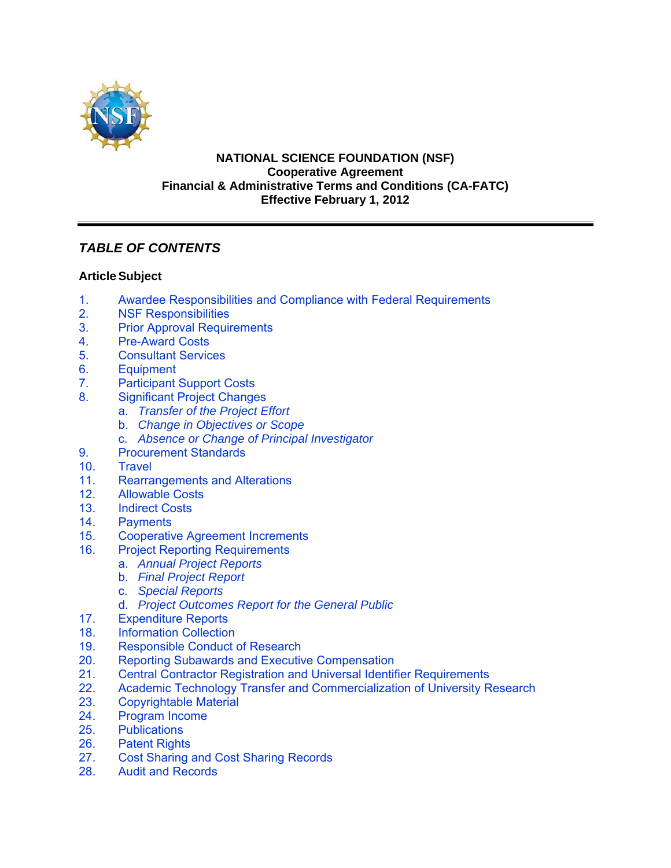

### **NATIONAL SCIENCE FOUNDATION (NSF) Cooperative Agreement Financial & Administrative Terms and Conditions (CA-FATC) Effective February 1, 2012**

# *TABLE OF CONTENTS*

# **Article Subject**

- 1. [Awardee Responsibilities and Compliance with Federal Requirements](#page-1-0)
- 2. [NSF Responsibilities](#page-2-0)
- 3. [Prior Approval Requirements](#page-3-0)
- 4. [Pre-Award Costs](#page-3-0)
- 5. [Consultant Services](#page-4-0)<br>6. Equipment
- **[Equipment](#page-4-0)**
- 7. [Participant Support Costs](#page-6-0)
- 8. [Significant Project Changes](#page-6-0)
	- a. *[Transfer of the Project Effort](#page-6-0)*
	- b. *[Change in Objectives or Scope](#page-7-0)*
	- c. *[Absence or Change of Principal Investigator](#page-7-0)*
- 9. [Procurement Standards](#page-7-0)
- 10. [Travel](#page-7-0)
- 11. [Rearrangements and Alterations](#page-10-0)<br>12. Allowable Costs
- **Allowable Costs**
- [13. Indirect Costs](#page-11-0)
- 14. [Payments](#page-11-0)
- 15. [Cooperative Agreement Increments](#page-12-0)
- 16. [Project Reporting Requirements](#page-12-0)
	- a. *[Annual Project Reports](#page-12-0)*
	- b. *[Final Project Report](#page-12-0)*
	- c. *[Special Reports](#page-13-0)*
	- d. *[Project Outcomes Report for the General Public](#page-13-0)*
- 17. [Expenditure Reports](#page-13-0)<br>18. Information Collection
- **Information Collection**
- [19. Responsible Conduct of Research](#page-14-0)
- [20. Reporting Subawards and Executive Compensation](#page-14-0)
- 21. Central Contractor Registration and Universal Identifier Requirements<br>22. Academic Technology Transfer and Commercialization of University R
- Academic Technology Transfer and Commercialization of University Research
- 23. [Copyrightable Material](#page-20-0)
- 24. [Program Income](#page-21-0)
- 25. [Publications](#page-21-0)
- 26. [Patent Rights](#page-22-0)
- 27. [Cost Sharing and Cost Sharing Records](#page-28-0)<br>28. Audit and Records
- **[Audit and Records](#page-29-0)**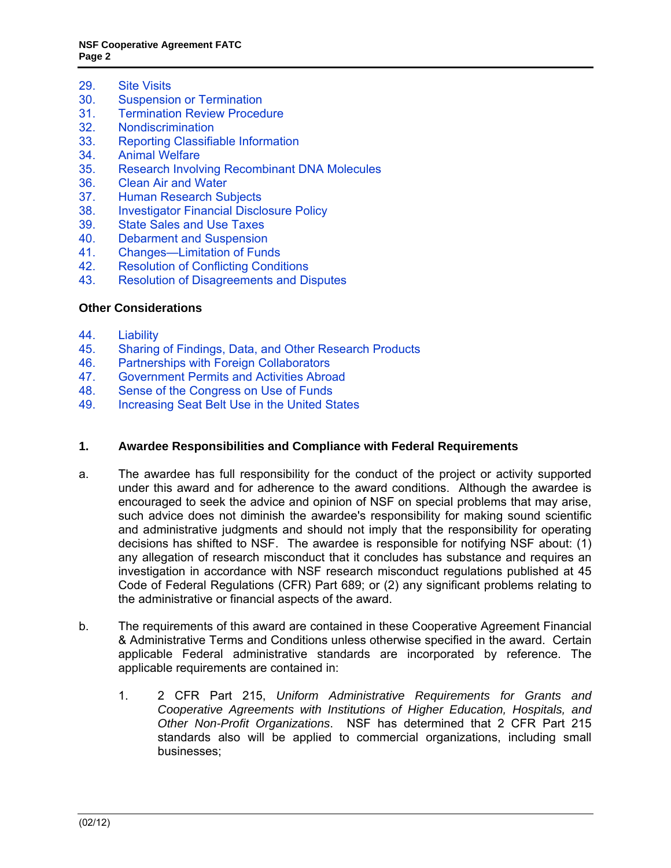- <span id="page-1-0"></span>29. [Site Visits](#page-30-0)<br>30. Suspensio
- **[Suspension or Termination](#page-30-0)**
- 31. [Termination Review Procedure](#page-31-0)
- 32. [Nondiscrimination](#page-31-0)
- 33. [Reporting Classifiable Information](#page-32-0)
- 34. [Animal Welfare](#page-32-0)
- 35. [Research Involving Recombinant DNA Molecules](#page-33-0)
- 36. [Clean Air and Water](#page-33-0)
- 37. [Human Research Subjects](#page-33-0)<br>38. Investigator Financial Discle
- **[Investigator Financial Disclosure Policy](#page-33-0)**
- 39. [State Sales and Use Taxes](#page-33-0)
- 40. [Debarment and Suspension](#page-34-0)
- 41. [Changes—Limitation of Funds](#page-34-0)
- 42. [Resolution of Conflicting Conditions](#page-34-0)
- 43. [Resolution of Disagreements and Disputes](#page-34-0)

# **Other Considerations**

- 44. [Liability](#page-34-0)
- 45. [Sharing of Findings, Data, and Other Research Products](#page-35-0)
- 
- 46. [Partnerships with Foreign Collaborators](#page-35-0)<br>47. Government Permits and Activities Abro 47. [Government Permits and Activities Abroad](#page-35-0)
- 48. [Sense of the Congress on Use of Funds](#page-35-0)
- 49. [Increasing Seat Belt Use in the United States](#page-36-0)

# **1. Awardee Responsibilities and Compliance with Federal Requirements**

- a. The awardee has full responsibility for the conduct of the project or activity supported under this award and for adherence to the award conditions. Although the awardee is encouraged to seek the advice and opinion of NSF on special problems that may arise, such advice does not diminish the awardee's responsibility for making sound scientific and administrative judgments and should not imply that the responsibility for operating decisions has shifted to NSF. The awardee is responsible for notifying NSF about: (1) any allegation of research misconduct that it concludes has substance and requires an investigation in accordance with NSF research misconduct regulations published at 45 Code of Federal Regulations (CFR) Part 689; or (2) any significant problems relating to the administrative or financial aspects of the award.
- b. The requirements of this award are contained in these Cooperative Agreement Financial & Administrative Terms and Conditions unless otherwise specified in the award. Certain applicable Federal administrative standards are incorporated by reference. The applicable requirements are contained in:
	- 1. 2 CFR Part 215, *Uniform Administrative Requirements for Grants and Cooperative Agreements with Institutions of Higher Education, Hospitals, and Other Non-Profit Organizations*. NSF has determined that 2 CFR Part 215 standards also will be applied to commercial organizations, including small businesses;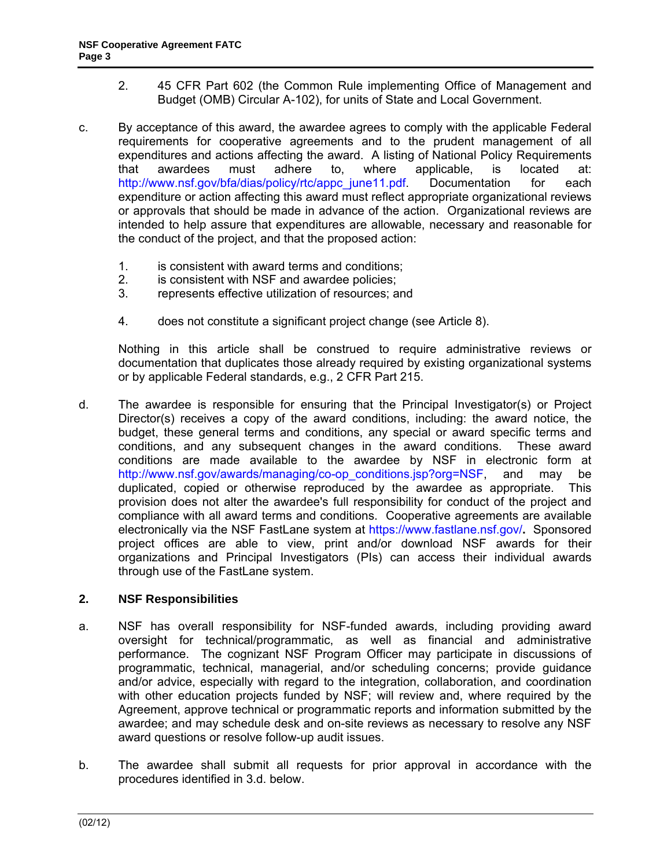- <span id="page-2-0"></span>2. 45 CFR Part 602 (the Common Rule implementing Office of Management and Budget (OMB) Circular A-102), for units of State and Local Government.
- c. By acceptance of this award, the awardee agrees to comply with the applicable Federal requirements for cooperative agreements and to the prudent management of all expenditures and actions affecting the award. A listing of National Policy Requirements<br>that awardees must adhere to. where applicable. is located at: that awardees must adhere to, where applicable, is located at: http://www.nsf.gov/bfa/dias/policy/rtc/appc\_june11.pdf. Documentation for each expenditure or action affecting this award must reflect appropriate organizational reviews or approvals that should be made in advance of the action. Organizational reviews are intended to help assure that expenditures are allowable, necessary and reasonable for the conduct of the project, and that the proposed action:
	- 1. is consistent with award terms and conditions;
	- 2. is consistent with NSF and awardee policies;
	- 3. represents effective utilization of resources; and
	- 4. does not constitute a significant project change (see Article 8).

 Nothing in this article shall be construed to require administrative reviews or documentation that duplicates those already required by existing organizational systems or by applicable Federal standards, e.g., 2 CFR Part 215.

d. The awardee is responsible for ensuring that the Principal Investigator(s) or Project Director(s) receives a copy of the award conditions, including: the award notice, the budget, these general terms and conditions, any special or award specific terms and conditions, and any subsequent changes in the award conditions. These award conditions are made available to the awardee by NSF in electronic form at http://www.nsf.gov/awards/managing/co-op\_conditions.jsp?org=NSF, and may be duplicated, copied or otherwise reproduced by the awardee as appropriate. This provision does not alter the awardee's full responsibility for conduct of the project and compliance with all award terms and conditions. Cooperative agreements are available electronically via the NSF FastLane system at https://www.fastlane.nsf.gov/**.** Sponsored project offices are able to view, print and/or download NSF awards for their organizations and Principal Investigators (PIs) can access their individual awards through use of the FastLane system.

# **2. NSF Responsibilities**

- a. NSF has overall responsibility for NSF-funded awards, including providing award oversight for technical/programmatic, as well as financial and administrative performance. The cognizant NSF Program Officer may participate in discussions of programmatic, technical, managerial, and/or scheduling concerns; provide guidance and/or advice, especially with regard to the integration, collaboration, and coordination with other education projects funded by NSF; will review and, where required by the Agreement, approve technical or programmatic reports and information submitted by the awardee; and may schedule desk and on-site reviews as necessary to resolve any NSF award questions or resolve follow-up audit issues.
- b. The awardee shall submit all requests for prior approval in accordance with the procedures identified in 3.d. below.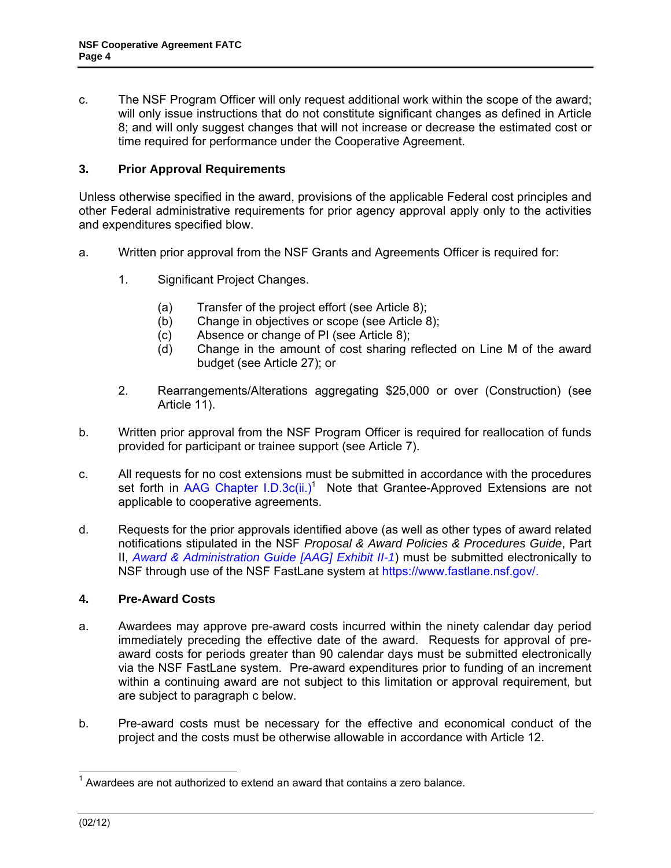<span id="page-3-0"></span>c. The NSF Program Officer will only request additional work within the scope of the award; will only issue instructions that do not constitute significant changes as defined in Article 8; and will only suggest changes that will not increase or decrease the estimated cost or time required for performance under the Cooperative Agreement.

### **3. Prior Approval Requirements**

Unless otherwise specified in the award, provisions of the applicable Federal cost principles and other Federal administrative requirements for prior agency approval apply only to the activities and expenditures specified blow.

- a. Written prior approval from the NSF Grants and Agreements Officer is required for:
	- 1. Significant Project Changes.
		- (a) Transfer of the project effort (see Article 8);
		- (b) Change in objectives or scope (see Article 8);
		- (c) Absence or change of PI (see Article 8);
		- (d) Change in the amount of cost sharing reflected on Line M of the award budget (see Article 27); or
	- 2. Rearrangements/Alterations aggregating \$25,000 or over (Construction) (see Article 11).
- b. Written prior approval from the NSF Program Officer is required for reallocation of funds provided for participant or trainee support (see Article 7).
- c. All requests for no cost extensions must be submitted in accordance with the procedures set forth in [AAG Chapter I.D.3c\(ii.\)](http://www.nsf.gov/pubs/policydocs/pappguide/nsf11001/aag_1.jsp#ID3c)<sup>1</sup> Note that Grantee-Approved Extensions are not applicable to cooperative agreements.
- d. Requests for the prior approvals identified above (as well as other types of award related notifications stipulated in the NSF *Proposal & Award Policies & Procedures Guide*, Part II, *[Award & Administration Guide \[AAG\] Exhibit II-1](http://www.nsf.gov/pubs/policydocs/pappguide/nsf11001/aag_2ex1.pdf)*) must be submitted electronically to NSF through use of the NSF FastLane system at https://www.fastlane.nsf.gov/.

# **4. Pre-Award Costs**

- a. Awardees may approve pre-award costs incurred within the ninety calendar day period immediately preceding the effective date of the award. Requests for approval of preaward costs for periods greater than 90 calendar days must be submitted electronically via the NSF FastLane system. Pre-award expenditures prior to funding of an increment within a continuing award are not subject to this limitation or approval requirement, but are subject to paragraph c below.
- b. Pre-award costs must be necessary for the effective and economical conduct of the project and the costs must be otherwise allowable in accordance with Article 12.

 $\overline{1}$  $1$  Awardees are not authorized to extend an award that contains a zero balance.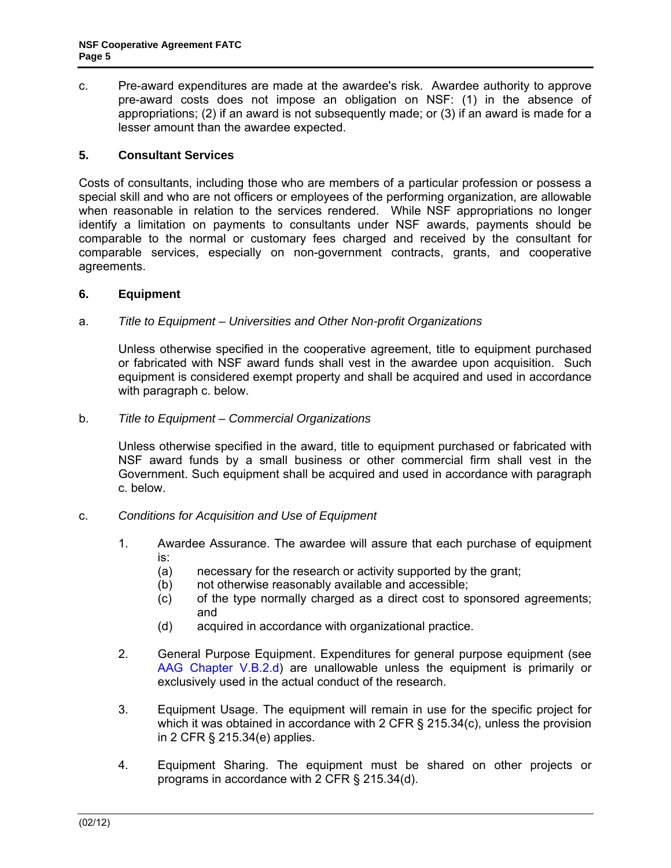<span id="page-4-0"></span>c. Pre-award expenditures are made at the awardee's risk. Awardee authority to approve pre-award costs does not impose an obligation on NSF: (1) in the absence of appropriations; (2) if an award is not subsequently made; or (3) if an award is made for a lesser amount than the awardee expected.

### **5. Consultant Services**

Costs of consultants, including those who are members of a particular profession or possess a special skill and who are not officers or employees of the performing organization, are allowable when reasonable in relation to the services rendered. While NSF appropriations no longer identify a limitation on payments to consultants under NSF awards, payments should be comparable to the normal or customary fees charged and received by the consultant for comparable services, especially on non-government contracts, grants, and cooperative agreements.

### **6. Equipment**

### a. *Title to Equipment – Universities and Other Non-profit Organizations*

 Unless otherwise specified in the cooperative agreement, title to equipment purchased or fabricated with NSF award funds shall vest in the awardee upon acquisition. Such equipment is considered exempt property and shall be acquired and used in accordance with paragraph c. below.

#### b. *Title to Equipment – Commercial Organizations*

 Unless otherwise specified in the award, title to equipment purchased or fabricated with NSF award funds by a small business or other commercial firm shall vest in the Government. Such equipment shall be acquired and used in accordance with paragraph c. below.

#### c. *Conditions for Acquisition and Use of Equipment*

- 1. Awardee Assurance. The awardee will assure that each purchase of equipment is:
	- (a) necessary for the research or activity supported by the grant;
	- (b) not otherwise reasonably available and accessible;
	- (c) of the type normally charged as a direct cost to sponsored agreements; and
	- (d) acquired in accordance with organizational practice.
- 2. General Purpose Equipment. Expenditures for general purpose equipment (see [AAG Chapter V.B.2.d\)](http://www.nsf.gov/pubs/policydocs/pappguide/nsf11001/aag_5.jsp#VB2d) are unallowable unless the equipment is primarily or exclusively used in the actual conduct of the research.
- 3. Equipment Usage. The equipment will remain in use for the specific project for which it was obtained in accordance with 2 CFR § 215.34(c), unless the provision in 2 CFR § 215.34(e) applies.
- 4. Equipment Sharing. The equipment must be shared on other projects or programs in accordance with 2 CFR § 215.34(d).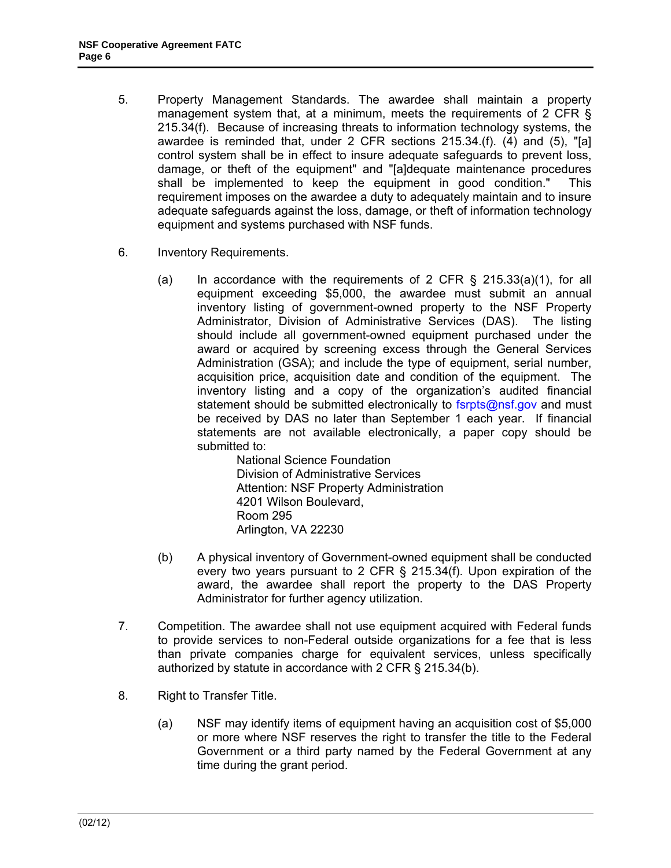- 5. Property Management Standards. The awardee shall maintain a property management system that, at a minimum, meets the requirements of 2 CFR § 215.34(f). Because of increasing threats to information technology systems, the awardee is reminded that, under 2 CFR sections 215.34.(f). (4) and (5), "[a] control system shall be in effect to insure adequate safeguards to prevent loss, damage, or theft of the equipment" and "[a]dequate maintenance procedures shall be implemented to keep the equipment in good condition." This requirement imposes on the awardee a duty to adequately maintain and to insure adequate safeguards against the loss, damage, or theft of information technology equipment and systems purchased with NSF funds.
- 6. Inventory Requirements.
	- (a) In accordance with the requirements of 2 CFR  $\S$  215.33(a)(1), for all equipment exceeding \$5,000, the awardee must submit an annual inventory listing of government-owned property to the NSF Property Administrator, Division of Administrative Services (DAS). The listing should include all government-owned equipment purchased under the award or acquired by screening excess through the General Services Administration (GSA); and include the type of equipment, serial number, acquisition price, acquisition date and condition of the equipment. The inventory listing and a copy of the organization's audited financial statement should be submitted electronically to fsrpts@nsf.gov and must be received by DAS no later than September 1 each year. If financial statements are not available electronically, a paper copy should be submitted to:

National Science Foundation Division of Administrative Services Attention: NSF Property Administration 4201 Wilson Boulevard, Room 295 Arlington, VA 22230

- (b) A physical inventory of Government-owned equipment shall be conducted every two years pursuant to 2 CFR § 215.34(f). Upon expiration of the award, the awardee shall report the property to the DAS Property Administrator for further agency utilization.
- 7. Competition. The awardee shall not use equipment acquired with Federal funds to provide services to non-Federal outside organizations for a fee that is less than private companies charge for equivalent services, unless specifically authorized by statute in accordance with 2 CFR § 215.34(b).
- 8. Right to Transfer Title.
	- (a) NSF may identify items of equipment having an acquisition cost of \$5,000 or more where NSF reserves the right to transfer the title to the Federal Government or a third party named by the Federal Government at any time during the grant period.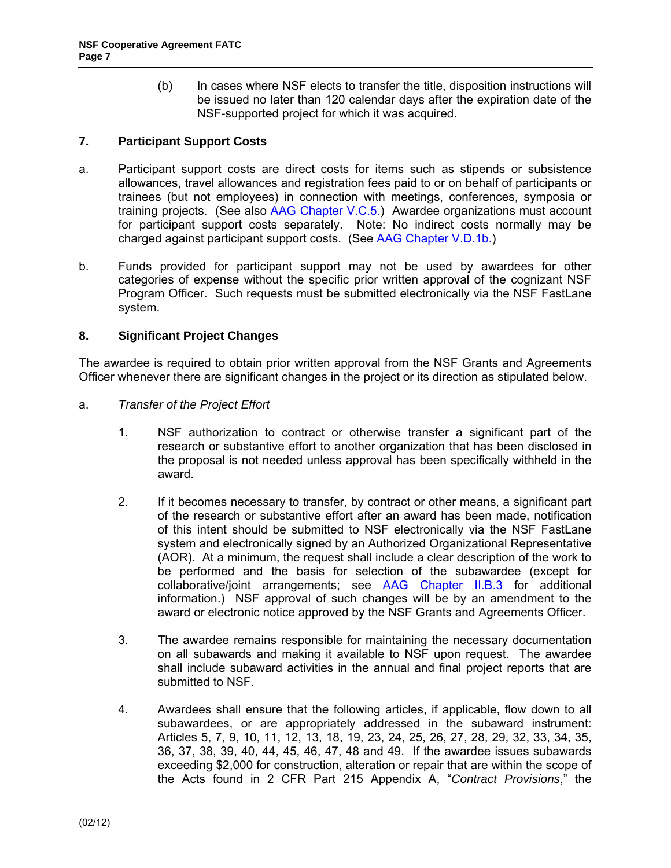(b) In cases where NSF elects to transfer the title, disposition instructions will be issued no later than 120 calendar days after the expiration date of the NSF-supported project for which it was acquired.

### <span id="page-6-0"></span>**7. Participant Support Costs**

- a. Participant support costs are direct costs for items such as stipends or subsistence allowances, travel allowances and registration fees paid to or on behalf of participants or trainees (but not employees) in connection with meetings, conferences, symposia or training projects. (See also [AAG Chapter V.C.5](http://www.nsf.gov/pubs/policydocs/pappguide/nsf11001/aag_5.jsp#VC5).) Awardee organizations must account for participant support costs separately. Note: No indirect costs normally may be charged against participant support costs. (See [AAG Chapter V.D.1b](http://www.nsf.gov/pubs/policydocs/pappguide/nsf11001/aag_5.jsp#VD1b).)
- b. Funds provided for participant support may not be used by awardees for other categories of expense without the specific prior written approval of the cognizant NSF Program Officer. Such requests must be submitted electronically via the NSF FastLane system.

# **8. Significant Project Changes**

The awardee is required to obtain prior written approval from the NSF Grants and Agreements Officer whenever there are significant changes in the project or its direction as stipulated below.

- a. *Transfer of the Project Effort*
	- 1. NSF authorization to contract or otherwise transfer a significant part of the research or substantive effort to another organization that has been disclosed in the proposal is not needed unless approval has been specifically withheld in the award.
	- 2. If it becomes necessary to transfer, by contract or other means, a significant part of the research or substantive effort after an award has been made, notification of this intent should be submitted to NSF electronically via the NSF FastLane system and electronically signed by an Authorized Organizational Representative (AOR). At a minimum, the request shall include a clear description of the work to be performed and the basis for selection of the subawardee (except for collaborative/joint arrangements; see [AAG Chapter II.B.3](http://www.nsf.gov/pubs/policydocs/pappguide/nsf11001/aag_2.jsp#IIB3) for additional information.) NSF approval of such changes will be by an amendment to the award or electronic notice approved by the NSF Grants and Agreements Officer.
	- 3. The awardee remains responsible for maintaining the necessary documentation on all subawards and making it available to NSF upon request. The awardee shall include subaward activities in the annual and final project reports that are submitted to NSF.
	- 4. Awardees shall ensure that the following articles, if applicable, flow down to all subawardees, or are appropriately addressed in the subaward instrument: Articles 5, 7, 9, 10, 11, 12, 13, 18, 19, 23, 24, 25, 26, 27, 28, 29, 32, 33, 34, 35, 36, 37, 38, 39, 40, 44, 45, 46, 47, 48 and 49. If the awardee issues subawards exceeding \$2,000 for construction, alteration or repair that are within the scope of the Acts found in 2 CFR Part 215 Appendix A, "*Contract Provisions*," the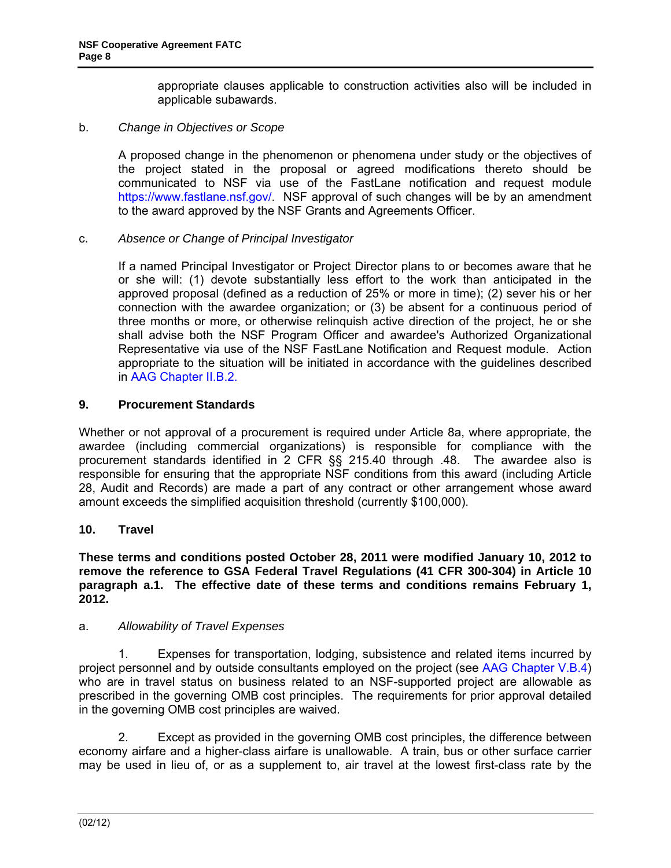appropriate clauses applicable to construction activities also will be included in applicable subawards.

# <span id="page-7-0"></span>b. *Change in Objectives or Scope*

 A proposed change in the phenomenon or phenomena under study or the objectives of the project stated in the proposal or agreed modifications thereto should be communicated to NSF via use of the FastLane notification and request module https://www.fastlane.nsf.gov/. NSF approval of such changes will be by an amendment to the award approved by the NSF Grants and Agreements Officer.

### c. *Absence or Change of Principal Investigator*

 If a named Principal Investigator or Project Director plans to or becomes aware that he or she will: (1) devote substantially less effort to the work than anticipated in the approved proposal (defined as a reduction of 25% or more in time); (2) sever his or her connection with the awardee organization; or (3) be absent for a continuous period of three months or more, or otherwise relinquish active direction of the project, he or she shall advise both the NSF Program Officer and awardee's Authorized Organizational Representative via use of the NSF FastLane Notification and Request module. Action appropriate to the situation will be initiated in accordance with the guidelines described in [AAG Chapter II.B.2](http://www.nsf.gov/pubs/policydocs/pappguide/nsf11001/aag_2.jsp#IIB2).

### **9. Procurement Standards**

Whether or not approval of a procurement is required under Article 8a, where appropriate, the awardee (including commercial organizations) is responsible for compliance with the procurement standards identified in 2 CFR §§ 215.40 through .48. The awardee also is responsible for ensuring that the appropriate NSF conditions from this award (including Article 28, Audit and Records) are made a part of any contract or other arrangement whose award amount exceeds the simplified acquisition threshold (currently \$100,000).

# **10. Travel**

**These terms and conditions posted October 28, 2011 were modified January 10, 2012 to remove the reference to GSA Federal Travel Regulations (41 CFR 300-304) in Article 10 paragraph a.1. The effective date of these terms and conditions remains February 1, 2012.**

#### a. *Allowability of Travel Expenses*

 1. Expenses for transportation, lodging, subsistence and related items incurred by project personnel and by outside consultants employed on the project (see [AAG Chapter V.B.4\)](http://www.nsf.gov/pubs/policydocs/pappguide/nsf11001/aag_5.jsp#VB4) who are in travel status on business related to an NSF-supported project are allowable as prescribed in the governing OMB cost principles. The requirements for prior approval detailed in the governing OMB cost principles are waived.

 2. Except as provided in the governing OMB cost principles, the difference between economy airfare and a higher-class airfare is unallowable. A train, bus or other surface carrier may be used in lieu of, or as a supplement to, air travel at the lowest first-class rate by the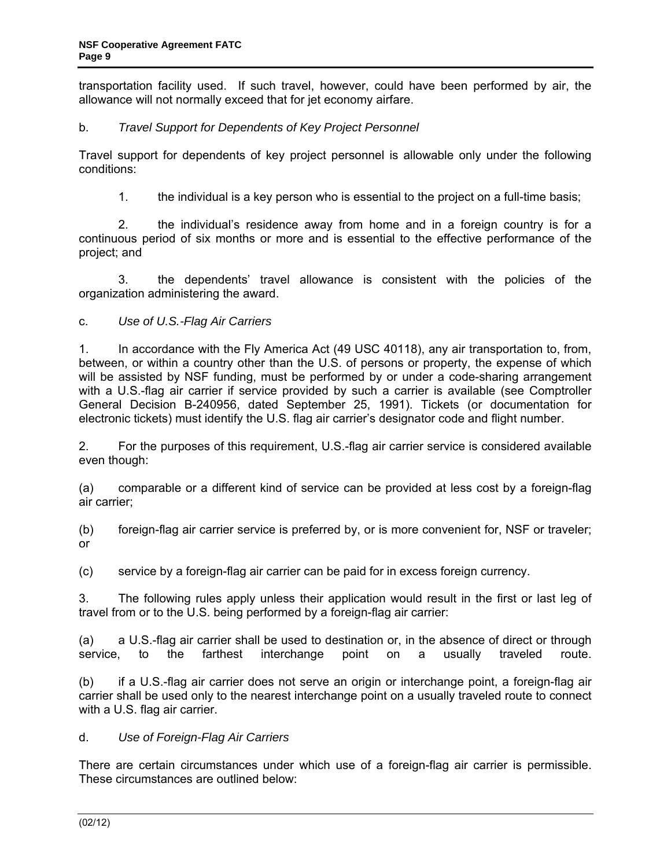transportation facility used. If such travel, however, could have been performed by air, the allowance will not normally exceed that for jet economy airfare.

# b. *Travel Support for Dependents of Key Project Personnel*

 Travel support for dependents of key project personnel is allowable only under the following conditions:

1. the individual is a key person who is essential to the project on a full-time basis;

 2. the individual's residence away from home and in a foreign country is for a continuous period of six months or more and is essential to the effective performance of the project; and

 3. the dependents' travel allowance is consistent with the policies of the organization administering the award.

# c. *Use of U.S.-Flag Air Carriers*

1. In accordance with the Fly America Act (49 USC 40118), any air transportation to, from, between, or within a country other than the U.S. of persons or property, the expense of which will be assisted by NSF funding, must be performed by or under a code-sharing arrangement with a U.S.-flag air carrier if service provided by such a carrier is available (see Comptroller General Decision B-240956, dated September 25, 1991). Tickets (or documentation for electronic tickets) must identify the U.S. flag air carrier's designator code and flight number.

2. For the purposes of this requirement, U.S.-flag air carrier service is considered available even though:

(a) comparable or a different kind of service can be provided at less cost by a foreign-flag air carrier;

(b) foreign-flag air carrier service is preferred by, or is more convenient for, NSF or traveler; or

(c) service by a foreign-flag air carrier can be paid for in excess foreign currency.

3. The following rules apply unless their application would result in the first or last leg of travel from or to the U.S. being performed by a foreign-flag air carrier:

(a) a U.S.-flag air carrier shall be used to destination or, in the absence of direct or through service, to the farthest interchange point on a usually traveled route.

(b) if a U.S.-flag air carrier does not serve an origin or interchange point, a foreign-flag air carrier shall be used only to the nearest interchange point on a usually traveled route to connect with a U.S. flag air carrier.

# d. *Use of Foreign-Flag Air Carriers*

There are certain circumstances under which use of a foreign-flag air carrier is permissible. These circumstances are outlined below: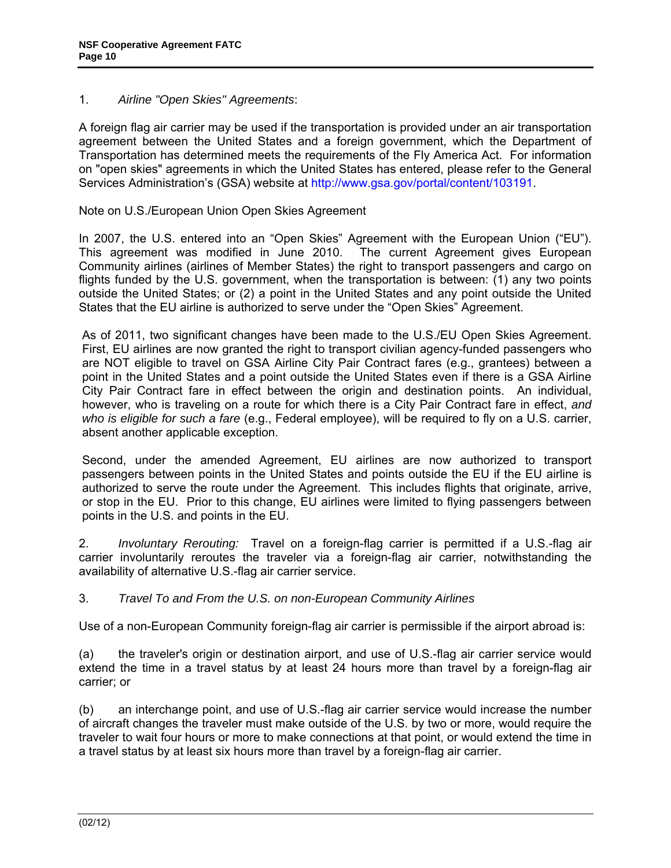### 1. *Airline "Open Skies" Agreements*:

A foreign flag air carrier may be used if the transportation is provided under an air transportation agreement between the United States and a foreign government, which the Department of Transportation has determined meets the requirements of the Fly America Act. For information on "open skies" agreements in which the United States has entered, please refer to the General Services Administration's (GSA) website at http://www.gsa.gov/portal/content/103191.

Note on U.S./European Union Open Skies Agreement

In 2007, the U.S. entered into an "Open Skies" Agreement with the European Union ("EU"). This agreement was modified in June 2010. The current Agreement gives European Community airlines (airlines of Member States) the right to transport passengers and cargo on flights funded by the U.S. government, when the transportation is between: (1) any two points outside the United States; or (2) a point in the United States and any point outside the United States that the EU airline is authorized to serve under the "Open Skies" Agreement.

As of 2011, two significant changes have been made to the U.S./EU Open Skies Agreement. First, EU airlines are now granted the right to transport civilian agency-funded passengers who are NOT eligible to travel on GSA Airline City Pair Contract fares (e.g., grantees) between a point in the United States and a point outside the United States even if there is a GSA Airline City Pair Contract fare in effect between the origin and destination points. An individual, however, who is traveling on a route for which there is a City Pair Contract fare in effect, *and who is eligible for such a fare* (e.g., Federal employee), will be required to fly on a U.S. carrier, absent another applicable exception.

Second, under the amended Agreement, EU airlines are now authorized to transport passengers between points in the United States and points outside the EU if the EU airline is authorized to serve the route under the Agreement. This includes flights that originate, arrive, or stop in the EU. Prior to this change, EU airlines were limited to flying passengers between points in the U.S. and points in the EU.

2. *Involuntary Rerouting:* Travel on a foreign-flag carrier is permitted if a U.S.-flag air carrier involuntarily reroutes the traveler via a foreign-flag air carrier, notwithstanding the availability of alternative U.S.-flag air carrier service.

# 3. *Travel To and From the U.S. on non-European Community Airlines*

Use of a non-European Community foreign-flag air carrier is permissible if the airport abroad is:

(a) the traveler's origin or destination airport, and use of U.S.-flag air carrier service would extend the time in a travel status by at least 24 hours more than travel by a foreign-flag air carrier; or

(b) an interchange point, and use of U.S.-flag air carrier service would increase the number of aircraft changes the traveler must make outside of the U.S. by two or more, would require the traveler to wait four hours or more to make connections at that point, or would extend the time in a travel status by at least six hours more than travel by a foreign-flag air carrier.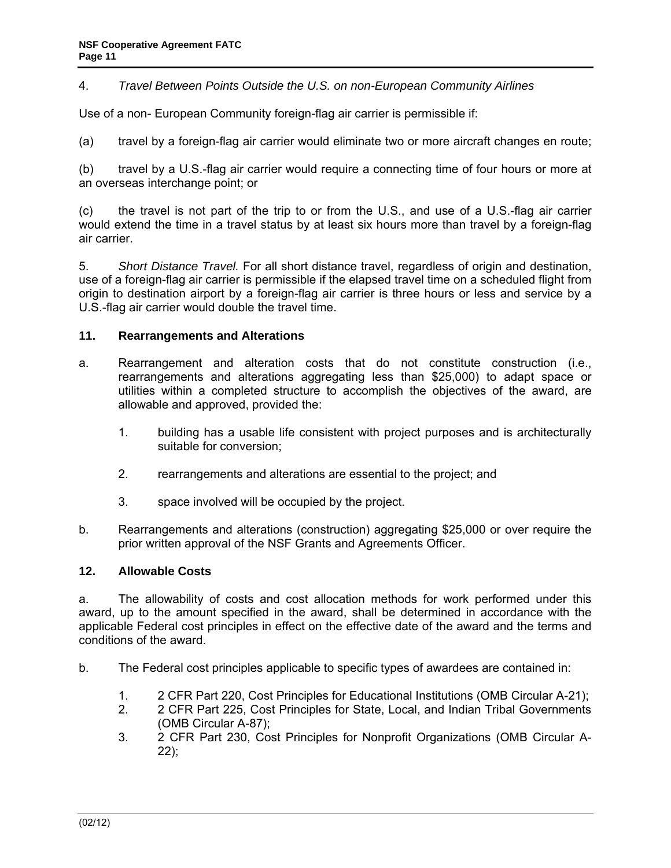### <span id="page-10-0"></span>4. *Travel Between Points Outside the U.S. on non-European Community Airlines*

Use of a non- European Community foreign-flag air carrier is permissible if:

(a) travel by a foreign-flag air carrier would eliminate two or more aircraft changes en route;

(b) travel by a U.S.-flag air carrier would require a connecting time of four hours or more at an overseas interchange point; or

(c) the travel is not part of the trip to or from the U.S., and use of a U.S.-flag air carrier would extend the time in a travel status by at least six hours more than travel by a foreign-flag air carrier.

5. *Short Distance Travel.* For all short distance travel, regardless of origin and destination, use of a foreign-flag air carrier is permissible if the elapsed travel time on a scheduled flight from origin to destination airport by a foreign-flag air carrier is three hours or less and service by a U.S.-flag air carrier would double the travel time.

### **11. Rearrangements and Alterations**

- a. Rearrangement and alteration costs that do not constitute construction (i.e., rearrangements and alterations aggregating less than \$25,000) to adapt space or utilities within a completed structure to accomplish the objectives of the award, are allowable and approved, provided the:
	- 1. building has a usable life consistent with project purposes and is architecturally suitable for conversion;
	- 2. rearrangements and alterations are essential to the project; and
	- 3. space involved will be occupied by the project.
- b. Rearrangements and alterations (construction) aggregating \$25,000 or over require the prior written approval of the NSF Grants and Agreements Officer.

#### **12. Allowable Costs**

a. The allowability of costs and cost allocation methods for work performed under this award, up to the amount specified in the award, shall be determined in accordance with the applicable Federal cost principles in effect on the effective date of the award and the terms and conditions of the award.

b. The Federal cost principles applicable to specific types of awardees are contained in:

- 1. 2 CFR Part 220, Cost Principles for Educational Institutions (OMB Circular A-21);
- 2. 2 CFR Part 225, Cost Principles for State, Local, and Indian Tribal Governments (OMB Circular A-87);
- 3. 2 CFR Part 230, Cost Principles for Nonprofit Organizations (OMB Circular A-22);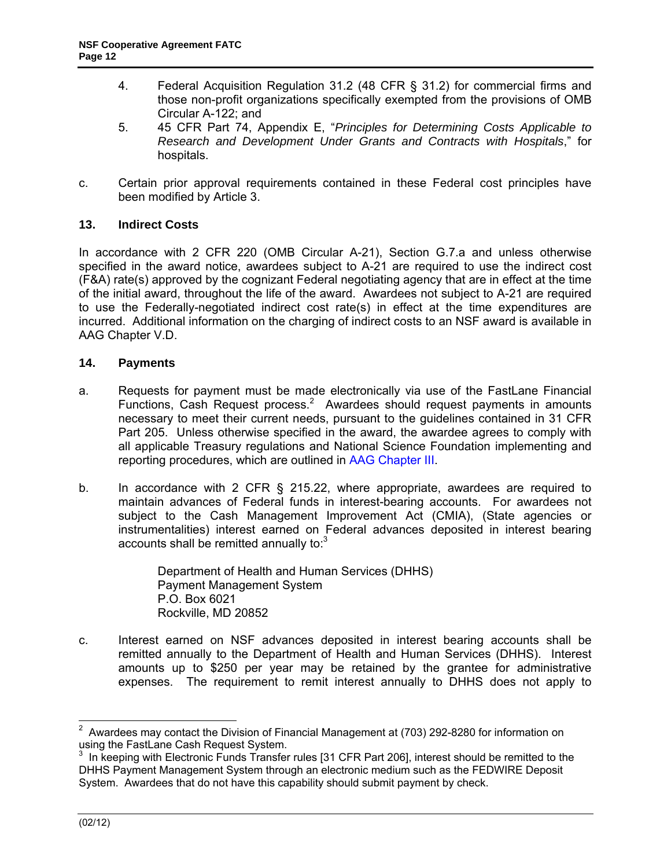- <span id="page-11-0"></span>4. Federal Acquisition Regulation 31.2 (48 CFR § 31.2) for commercial firms and those non-profit organizations specifically exempted from the provisions of OMB Circular A-122; and
- 5. 45 CFR Part 74, Appendix E, "*Principles for Determining Costs Applicable to Research and Development Under Grants and Contracts with Hospitals*," for hospitals.
- c. Certain prior approval requirements contained in these Federal cost principles have been modified by Article 3.

# **13. Indirect Costs**

In accordance with 2 CFR 220 (OMB Circular A-21), Section G.7.a and unless otherwise specified in the award notice, awardees subject to A-21 are required to use the indirect cost (F&A) rate(s) approved by the cognizant Federal negotiating agency that are in effect at the time of the initial award, throughout the life of the award. Awardees not subject to A-21 are required to use the Federally-negotiated indirect cost rate(s) in effect at the time expenditures are incurred. Additional information on the charging of indirect costs to an NSF award is available in AAG Chapter V.D.

### **14. Payments**

- a. Requests for payment must be made electronically via use of the FastLane Financial Functions, Cash Request process.<sup>2</sup> Awardees should request payments in amounts necessary to meet their current needs, pursuant to the guidelines contained in 31 CFR Part 205. Unless otherwise specified in the award, the awardee agrees to comply with all applicable Treasury regulations and National Science Foundation implementing and reporting procedures, which are outlined in [AAG Chapter III.](http://www.nsf.gov/pubs/policydocs/pappguide/nsf11001/aag_3.jsp)
- b. In accordance with 2 CFR § 215.22, where appropriate, awardees are required to maintain advances of Federal funds in interest-bearing accounts. For awardees not subject to the Cash Management Improvement Act (CMIA), (State agencies or instrumentalities) interest earned on Federal advances deposited in interest bearing accounts shall be remitted annually to: $3$

Department of Health and Human Services (DHHS) Payment Management System P.O. Box 6021 Rockville, MD 20852

c. Interest earned on NSF advances deposited in interest bearing accounts shall be remitted annually to the Department of Health and Human Services (DHHS). Interest amounts up to \$250 per year may be retained by the grantee for administrative expenses. The requirement to remit interest annually to DHHS does not apply to

 2 Awardees may contact the Division of Financial Management at (703) 292-8280 for information on using the FastLane Cash Request System.

 $3$  In keeping with Electronic Funds Transfer rules [31 CFR Part 206], interest should be remitted to the DHHS Payment Management System through an electronic medium such as the FEDWIRE Deposit System. Awardees that do not have this capability should submit payment by check.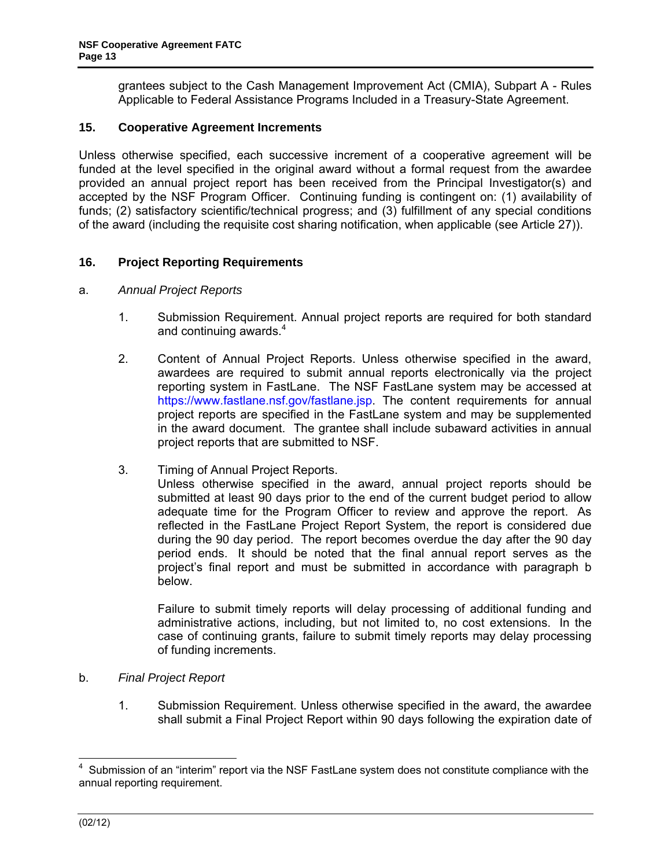<span id="page-12-0"></span>grantees subject to the Cash Management Improvement Act (CMIA), Subpart A - Rules Applicable to Federal Assistance Programs Included in a Treasury-State Agreement.

# **15. Cooperative Agreement Increments**

Unless otherwise specified, each successive increment of a cooperative agreement will be funded at the level specified in the original award without a formal request from the awardee provided an annual project report has been received from the Principal Investigator(s) and accepted by the NSF Program Officer. Continuing funding is contingent on: (1) availability of funds; (2) satisfactory scientific/technical progress; and (3) fulfillment of any special conditions of the award (including the requisite cost sharing notification, when applicable (see Article 27)).

### **16. Project Reporting Requirements**

- a. *Annual Project Reports*
	- 1. Submission Requirement. Annual project reports are required for both standard and continuing awards.<sup>4</sup>
	- 2. Content of Annual Project Reports. Unless otherwise specified in the award, awardees are required to submit annual reports electronically via the project reporting system in FastLane. The NSF FastLane system may be accessed at https://www.fastlane.nsf.gov/fastlane.jsp. The content requirements for annual project reports are specified in the FastLane system and may be supplemented in the award document. The grantee shall include subaward activities in annual project reports that are submitted to NSF.
	- 3. Timing of Annual Project Reports.

Unless otherwise specified in the award, annual project reports should be submitted at least 90 days prior to the end of the current budget period to allow adequate time for the Program Officer to review and approve the report. As reflected in the FastLane Project Report System, the report is considered due during the 90 day period. The report becomes overdue the day after the 90 day period ends. It should be noted that the final annual report serves as the project's final report and must be submitted in accordance with paragraph b below.

Failure to submit timely reports will delay processing of additional funding and administrative actions, including, but not limited to, no cost extensions. In the case of continuing grants, failure to submit timely reports may delay processing of funding increments.

- b. *Final Project Report*
	- 1. Submission Requirement. Unless otherwise specified in the award, the awardee shall submit a Final Project Report within 90 days following the expiration date of

 $\overline{\phantom{a}}$ 

<sup>4</sup> Submission of an "interim" report via the NSF FastLane system does not constitute compliance with the annual reporting requirement.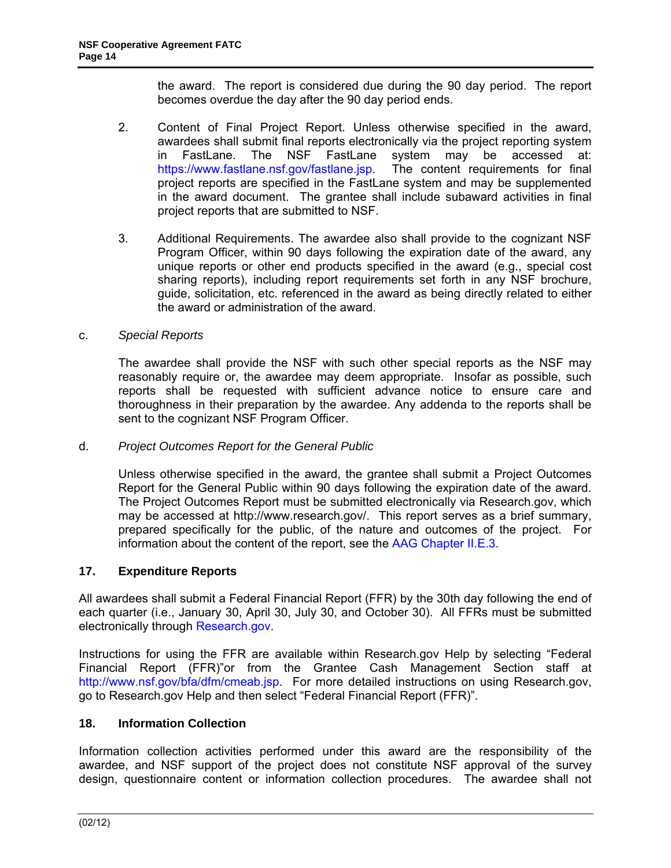the award. The report is considered due during the 90 day period. The report becomes overdue the day after the 90 day period ends.

- <span id="page-13-0"></span>2. Content of Final Project Report. Unless otherwise specified in the award, awardees shall submit final reports electronically via the project reporting system in FastLane. The NSF FastLane system may be accessed at: https://www.fastlane.nsf.gov/fastlane.jsp. The content requirements for final project reports are specified in the FastLane system and may be supplemented in the award document. The grantee shall include subaward activities in final project reports that are submitted to NSF.
- 3. Additional Requirements. The awardee also shall provide to the cognizant NSF Program Officer, within 90 days following the expiration date of the award, any unique reports or other end products specified in the award (e.g., special cost sharing reports), including report requirements set forth in any NSF brochure, guide, solicitation, etc. referenced in the award as being directly related to either the award or administration of the award.

### c. *Special Reports*

 The awardee shall provide the NSF with such other special reports as the NSF may reasonably require or, the awardee may deem appropriate. Insofar as possible, such reports shall be requested with sufficient advance notice to ensure care and thoroughness in their preparation by the awardee. Any addenda to the reports shall be sent to the cognizant NSF Program Officer.

#### d. *Project Outcomes Report for the General Public*

Unless otherwise specified in the award, the grantee shall submit a Project Outcomes Report for the General Public within 90 days following the expiration date of the award. The Project Outcomes Report must be submitted electronically via Research.gov, which may be accessed at http://www.research.gov/. This report serves as a brief summary, prepared specifically for the public, of the nature and outcomes of the project. For information about the content of the report, see the [AAG Chapter II.E.3](http://www.nsf.gov/pubs/policydocs/pappguide/nsf11001/aag_2.jsp#IIE3).

#### **17. Expenditure Reports**

All awardees shall submit a Federal Financial Report (FFR) by the 30th day following the end of each quarter (i.e., January 30, April 30, July 30, and October 30). All FFRs must be submitted electronically through [Research.gov.](http://www.research.gov/research-portal/appmanager/base/desktop?_nfpb=true&_pageLabel=research_home_page)

Instructions for using the FFR are available within Research.gov Help by selecting "Federal Financial Report (FFR)"or from the Grantee Cash Management Section staff at http://www.nsf.gov/bfa/dfm/cmeab.jsp. For more detailed instructions on using Research.gov, go to Research.gov Help and then select "Federal Financial Report (FFR)".

# **18. Information Collection**

Information collection activities performed under this award are the responsibility of the awardee, and NSF support of the project does not constitute NSF approval of the survey design, questionnaire content or information collection procedures. The awardee shall not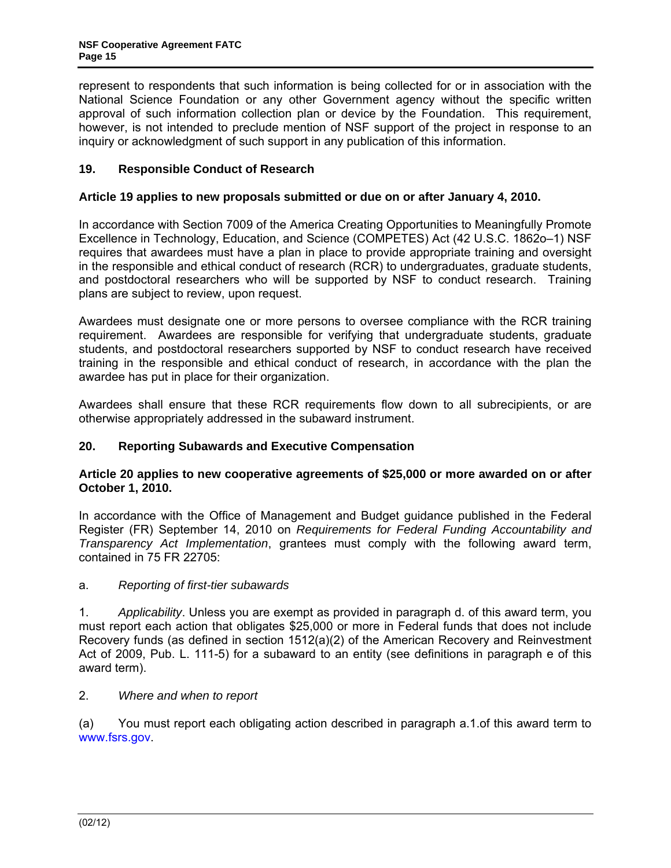<span id="page-14-0"></span>represent to respondents that such information is being collected for or in association with the National Science Foundation or any other Government agency without the specific written approval of such information collection plan or device by the Foundation. This requirement, however, is not intended to preclude mention of NSF support of the project in response to an inquiry or acknowledgment of such support in any publication of this information.

# **19. Responsible Conduct of Research**

### **Article 19 applies to new proposals submitted or due on or after January 4, 2010.**

In accordance with Section 7009 of the America Creating Opportunities to Meaningfully Promote Excellence in Technology, Education, and Science (COMPETES) Act (42 U.S.C. 1862o–1) NSF requires that awardees must have a plan in place to provide appropriate training and oversight in the responsible and ethical conduct of research (RCR) to undergraduates, graduate students, and postdoctoral researchers who will be supported by NSF to conduct research. Training plans are subject to review, upon request.

Awardees must designate one or more persons to oversee compliance with the RCR training requirement. Awardees are responsible for verifying that undergraduate students, graduate students, and postdoctoral researchers supported by NSF to conduct research have received training in the responsible and ethical conduct of research, in accordance with the plan the awardee has put in place for their organization.

Awardees shall ensure that these RCR requirements flow down to all subrecipients, or are otherwise appropriately addressed in the subaward instrument.

# **20. Reporting Subawards and Executive Compensation**

### **Article 20 applies to new cooperative agreements of \$25,000 or more awarded on or after October 1, 2010.**

In accordance with the Office of Management and Budget guidance published in the Federal Register (FR) September 14, 2010 on *Requirements for Federal Funding Accountability and Transparency Act Implementation*, grantees must comply with the following award term, contained in 75 FR 22705:

#### a. *Reporting of first-tier subawards*

1. *Applicability*. Unless you are exempt as provided in paragraph d. of this award term, you must report each action that obligates \$25,000 or more in Federal funds that does not include Recovery funds (as defined in section 1512(a)(2) of the American Recovery and Reinvestment Act of 2009, Pub. L. 111-5) for a subaward to an entity (see definitions in paragraph e of this award term).

# 2. *Where and when to report*

(a) You must report each obligating action described in paragraph a.1.of this award term to www.fsrs.gov.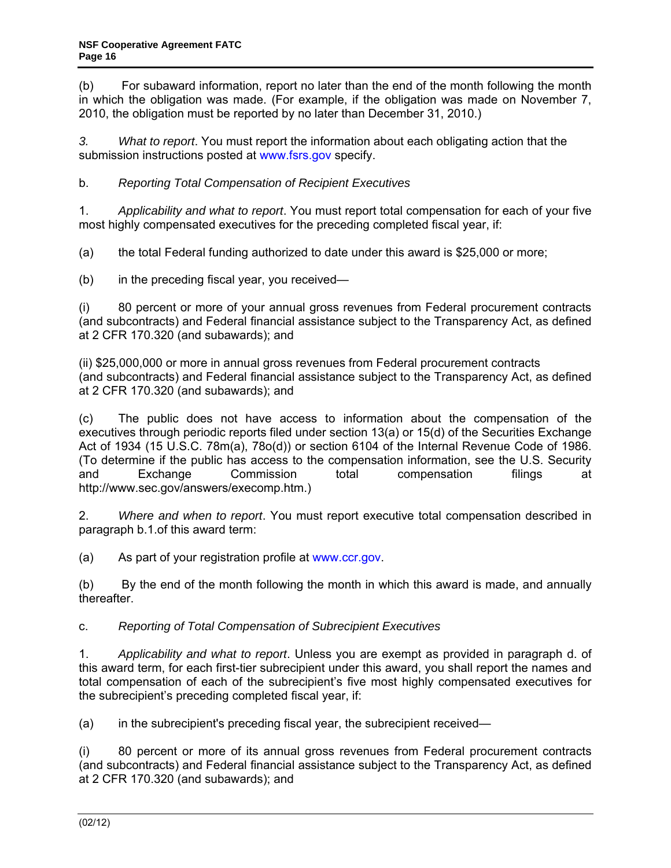(b) For subaward information, report no later than the end of the month following the month in which the obligation was made. (For example, if the obligation was made on November 7, 2010, the obligation must be reported by no later than December 31, 2010.)

*3. What to report*. You must report the information about each obligating action that the submission instructions posted at www.fsrs.gov specify.

b. *Reporting Total Compensation of Recipient Executives* 

1. *Applicability and what to report*. You must report total compensation for each of your five most highly compensated executives for the preceding completed fiscal year, if:

(a) the total Federal funding authorized to date under this award is \$25,000 or more;

(b) in the preceding fiscal year, you received—

(i) 80 percent or more of your annual gross revenues from Federal procurement contracts (and subcontracts) and Federal financial assistance subject to the Transparency Act, as defined at 2 CFR 170.320 (and subawards); and

(ii) \$25,000,000 or more in annual gross revenues from Federal procurement contracts (and subcontracts) and Federal financial assistance subject to the Transparency Act, as defined at 2 CFR 170.320 (and subawards); and

(c) The public does not have access to information about the compensation of the executives through periodic reports filed under section 13(a) or 15(d) of the Securities Exchange Act of 1934 (15 U.S.C. 78m(a), 78o(d)) or section 6104 of the Internal Revenue Code of 1986. (To determine if the public has access to the compensation information, see the U.S. Security and Exchange Commission total compensation filings at http://www.sec.gov/answers/execomp.htm.)

2. *Where and when to report*. You must report executive total compensation described in paragraph b.1.of this award term:

(a) As part of your registration profile at www.ccr.gov.

(b) By the end of the month following the month in which this award is made, and annually thereafter.

# c. *Reporting of Total Compensation of Subrecipient Executives*

1. *Applicability and what to report*. Unless you are exempt as provided in paragraph d. of this award term, for each first-tier subrecipient under this award, you shall report the names and total compensation of each of the subrecipient's five most highly compensated executives for the subrecipient's preceding completed fiscal year, if:

(a) in the subrecipient's preceding fiscal year, the subrecipient received—

(i) 80 percent or more of its annual gross revenues from Federal procurement contracts (and subcontracts) and Federal financial assistance subject to the Transparency Act, as defined at 2 CFR 170.320 (and subawards); and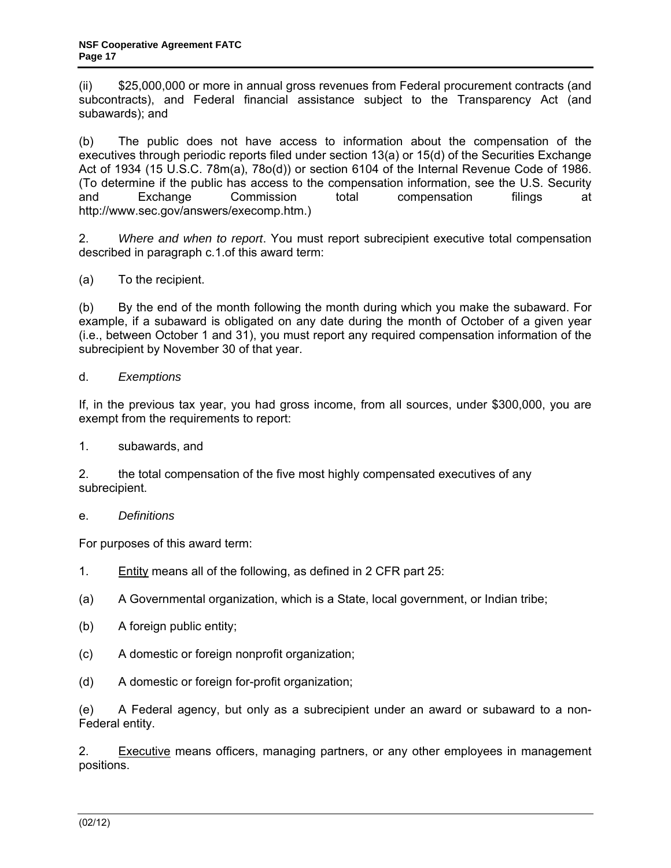(ii) \$25,000,000 or more in annual gross revenues from Federal procurement contracts (and subcontracts), and Federal financial assistance subject to the Transparency Act (and subawards); and

(b) The public does not have access to information about the compensation of the executives through periodic reports filed under section 13(a) or 15(d) of the Securities Exchange Act of 1934 (15 U.S.C. 78m(a), 78o(d)) or section 6104 of the Internal Revenue Code of 1986. (To determine if the public has access to the compensation information, see the U.S. Security and Exchange Commission total compensation filings at http://www.sec.gov/answers/execomp.htm.)

2. *Where and when to report*. You must report subrecipient executive total compensation described in paragraph c.1.of this award term:

(a) To the recipient.

(b) By the end of the month following the month during which you make the subaward. For example, if a subaward is obligated on any date during the month of October of a given year (i.e., between October 1 and 31), you must report any required compensation information of the subrecipient by November 30 of that year.

#### d. *Exemptions*

If, in the previous tax year, you had gross income, from all sources, under \$300,000, you are exempt from the requirements to report:

1. subawards, and

2. the total compensation of the five most highly compensated executives of any subrecipient.

#### e. *Definitions*

For purposes of this award term:

- 1. Entity means all of the following, as defined in 2 CFR part 25:
- (a) A Governmental organization, which is a State, local government, or Indian tribe;
- (b) A foreign public entity;
- (c) A domestic or foreign nonprofit organization;
- (d) A domestic or foreign for-profit organization;

(e) A Federal agency, but only as a subrecipient under an award or subaward to a non-Federal entity.

2. Executive means officers, managing partners, or any other employees in management positions.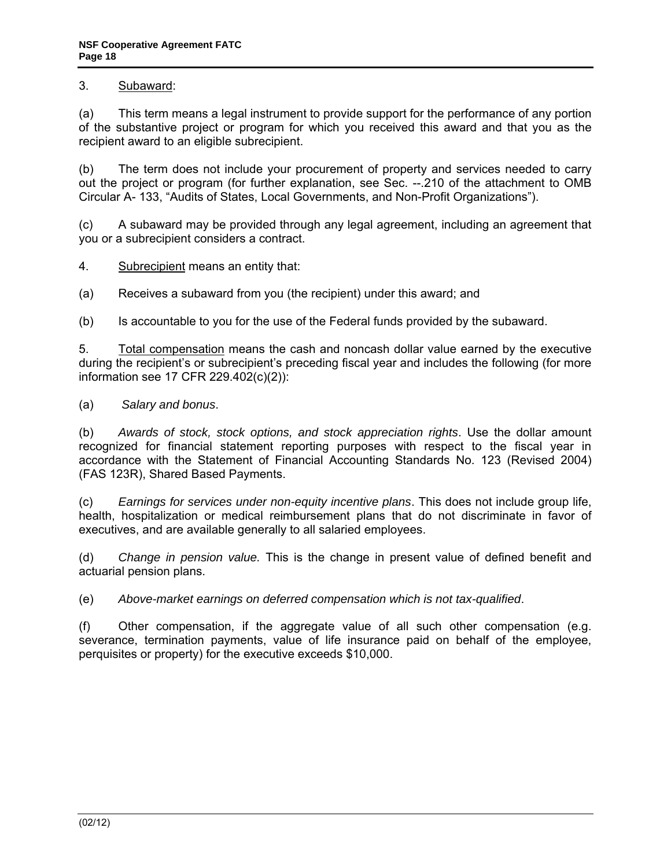# 3. Subaward:

(a) This term means a legal instrument to provide support for the performance of any portion of the substantive project or program for which you received this award and that you as the recipient award to an eligible subrecipient.

(b) The term does not include your procurement of property and services needed to carry out the project or program (for further explanation, see Sec. --.210 of the attachment to OMB Circular A- 133, "Audits of States, Local Governments, and Non-Profit Organizations").

(c) A subaward may be provided through any legal agreement, including an agreement that you or a subrecipient considers a contract.

4. Subrecipient means an entity that:

(a) Receives a subaward from you (the recipient) under this award; and

(b) Is accountable to you for the use of the Federal funds provided by the subaward.

5. Total compensation means the cash and noncash dollar value earned by the executive during the recipient's or subrecipient's preceding fiscal year and includes the following (for more information see 17 CFR 229.402(c)(2)):

(a) *Salary and bonus*.

(b) *Awards of stock, stock options, and stock appreciation rights*. Use the dollar amount recognized for financial statement reporting purposes with respect to the fiscal year in accordance with the Statement of Financial Accounting Standards No. 123 (Revised 2004) (FAS 123R), Shared Based Payments.

(c) *Earnings for services under non-equity incentive plans*. This does not include group life, health, hospitalization or medical reimbursement plans that do not discriminate in favor of executives, and are available generally to all salaried employees.

(d) *Change in pension value.* This is the change in present value of defined benefit and actuarial pension plans.

(e) *Above-market earnings on deferred compensation which is not tax-qualified*.

(f) Other compensation, if the aggregate value of all such other compensation (e.g. severance, termination payments, value of life insurance paid on behalf of the employee, perquisites or property) for the executive exceeds \$10,000.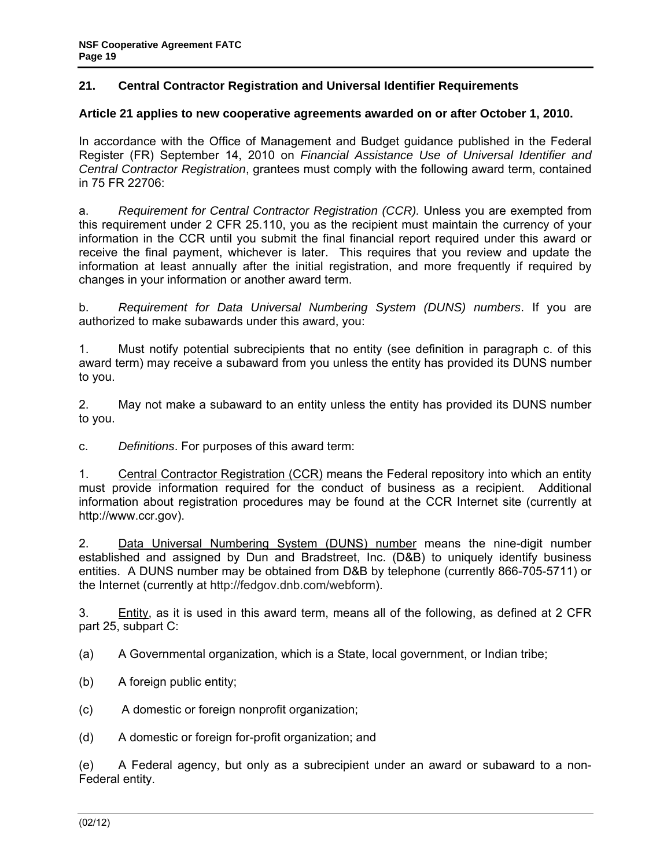# <span id="page-18-0"></span>**21. Central Contractor Registration and Universal Identifier Requirements**

### **Article 21 applies to new cooperative agreements awarded on or after October 1, 2010.**

In accordance with the Office of Management and Budget guidance published in the Federal Register (FR) September 14, 2010 on *Financial Assistance Use of Universal Identifier and Central Contractor Registration*, grantees must comply with the following award term, contained in 75 FR 22706:

a. *Requirement for Central Contractor Registration (CCR).* Unless you are exempted from this requirement under 2 CFR 25.110, you as the recipient must maintain the currency of your information in the CCR until you submit the final financial report required under this award or receive the final payment, whichever is later. This requires that you review and update the information at least annually after the initial registration, and more frequently if required by changes in your information or another award term.

b. *Requirement for Data Universal Numbering System (DUNS) numbers*. If you are authorized to make subawards under this award, you:

1. Must notify potential subrecipients that no entity (see definition in paragraph c. of this award term) may receive a subaward from you unless the entity has provided its DUNS number to you.

2. May not make a subaward to an entity unless the entity has provided its DUNS number to you.

c. *Definitions*. For purposes of this award term:

1. Central Contractor Registration (CCR) means the Federal repository into which an entity must provide information required for the conduct of business as a recipient. Additional information about registration procedures may be found at the CCR Internet site (currently at http://www.ccr.gov).

2. Data Universal Numbering System (DUNS) number means the nine-digit number established and assigned by Dun and Bradstreet, Inc. (D&B) to uniquely identify business entities. A DUNS number may be obtained from D&B by telephone (currently 866-705-5711) or the Internet (currently at http://fedgov.dnb.com/webform).

3. Entity, as it is used in this award term, means all of the following, as defined at 2 CFR part 25, subpart C:

(a) A Governmental organization, which is a State, local government, or Indian tribe;

- (b) A foreign public entity;
- (c) A domestic or foreign nonprofit organization;

(d) A domestic or foreign for-profit organization; and

(e) A Federal agency, but only as a subrecipient under an award or subaward to a non-Federal entity.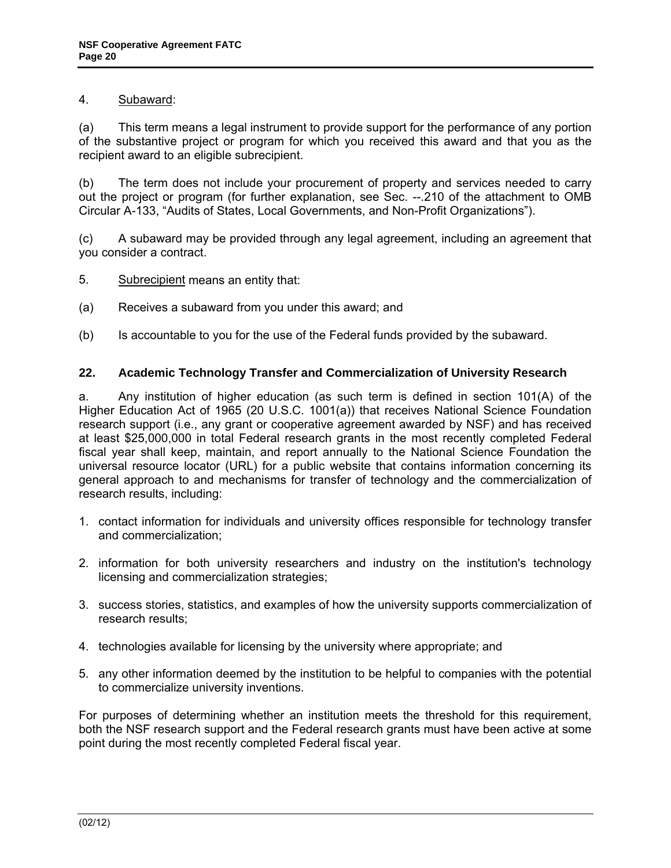# <span id="page-19-0"></span>4. Subaward:

(a) This term means a legal instrument to provide support for the performance of any portion of the substantive project or program for which you received this award and that you as the recipient award to an eligible subrecipient.

(b) The term does not include your procurement of property and services needed to carry out the project or program (for further explanation, see Sec. --.210 of the attachment to OMB Circular A-133, "Audits of States, Local Governments, and Non-Profit Organizations").

(c) A subaward may be provided through any legal agreement, including an agreement that you consider a contract.

- 5. Subrecipient means an entity that:
- (a) Receives a subaward from you under this award; and
- (b) Is accountable to you for the use of the Federal funds provided by the subaward.

### **22. Academic Technology Transfer and Commercialization of University Research**

a. Any institution of higher education (as such term is defined in section 101(A) of the Higher Education Act of 1965 (20 U.S.C. 1001(a)) that receives National Science Foundation research support (i.e., any grant or cooperative agreement awarded by NSF) and has received at least \$25,000,000 in total Federal research grants in the most recently completed Federal fiscal year shall keep, maintain, and report annually to the National Science Foundation the universal resource locator (URL) for a public website that contains information concerning its general approach to and mechanisms for transfer of technology and the commercialization of research results, including:

- 1. contact information for individuals and university offices responsible for technology transfer and commercialization;
- 2. information for both university researchers and industry on the institution's technology licensing and commercialization strategies;
- 3. success stories, statistics, and examples of how the university supports commercialization of research results;
- 4. technologies available for licensing by the university where appropriate; and
- 5. any other information deemed by the institution to be helpful to companies with the potential to commercialize university inventions.

For purposes of determining whether an institution meets the threshold for this requirement, both the NSF research support and the Federal research grants must have been active at some point during the most recently completed Federal fiscal year.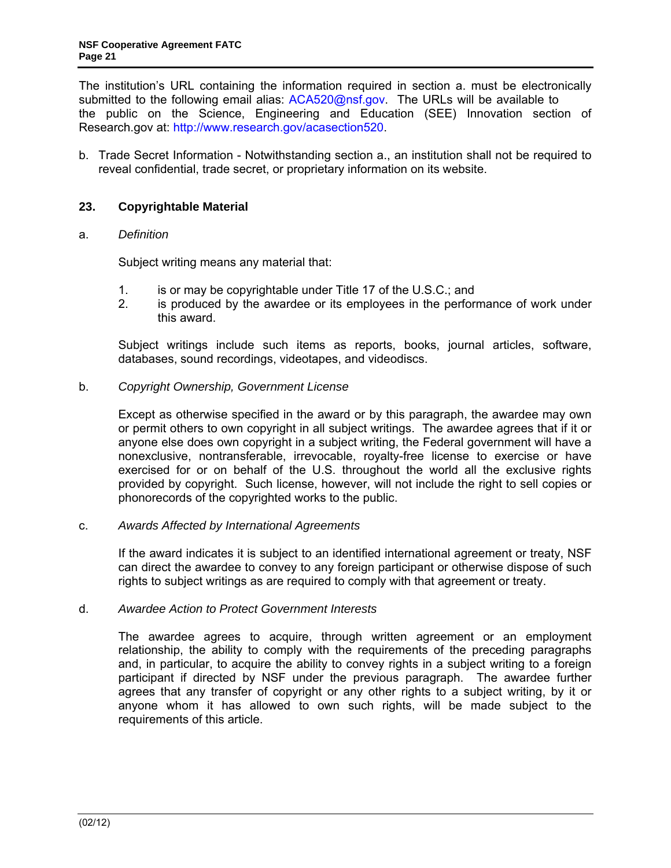<span id="page-20-0"></span>The institution's URL containing the information required in section a. must be electronically submitted to the following email alias: [ACA520@nsf.gov. The](mailto:ACA520@nsf.gov) URLs will be available to the public on the Science, Engineering and Education (SEE) Innovation section of Research.gov at: http://www.research.gov/acasection520.

b. Trade Secret Information - Notwithstanding section a., an institution shall not be required to reveal confidential, trade secret, or proprietary information on its website.

### **23. Copyrightable Material**

#### a. *Definition*

Subject writing means any material that:

- 1. is or may be copyrightable under Title 17 of the U.S.C.; and
- 2. is produced by the awardee or its employees in the performance of work under this award.

 Subject writings include such items as reports, books, journal articles, software, databases, sound recordings, videotapes, and videodiscs.

b. *Copyright Ownership, Government License* 

 Except as otherwise specified in the award or by this paragraph, the awardee may own or permit others to own copyright in all subject writings. The awardee agrees that if it or anyone else does own copyright in a subject writing, the Federal government will have a nonexclusive, nontransferable, irrevocable, royalty-free license to exercise or have exercised for or on behalf of the U.S. throughout the world all the exclusive rights provided by copyright. Such license, however, will not include the right to sell copies or phonorecords of the copyrighted works to the public.

#### c. *Awards Affected by International Agreements*

 If the award indicates it is subject to an identified international agreement or treaty, NSF can direct the awardee to convey to any foreign participant or otherwise dispose of such rights to subject writings as are required to comply with that agreement or treaty.

#### d. *Awardee Action to Protect Government Interests*

 The awardee agrees to acquire, through written agreement or an employment relationship, the ability to comply with the requirements of the preceding paragraphs and, in particular, to acquire the ability to convey rights in a subject writing to a foreign participant if directed by NSF under the previous paragraph. The awardee further agrees that any transfer of copyright or any other rights to a subject writing, by it or anyone whom it has allowed to own such rights, will be made subject to the requirements of this article.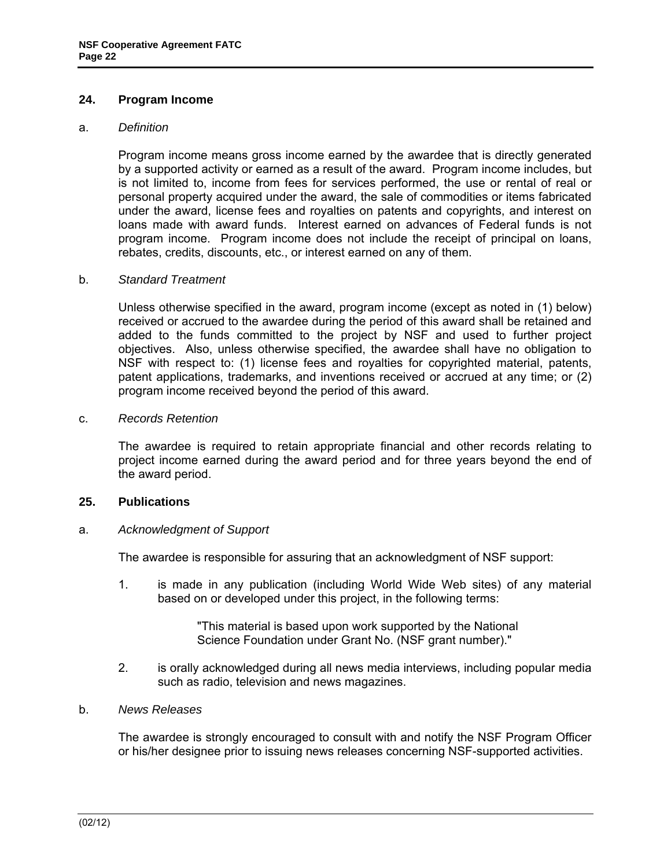### <span id="page-21-0"></span>**24. Program Income**

#### a. *Definition*

 Program income means gross income earned by the awardee that is directly generated by a supported activity or earned as a result of the award. Program income includes, but is not limited to, income from fees for services performed, the use or rental of real or personal property acquired under the award, the sale of commodities or items fabricated under the award, license fees and royalties on patents and copyrights, and interest on loans made with award funds. Interest earned on advances of Federal funds is not program income. Program income does not include the receipt of principal on loans, rebates, credits, discounts, etc., or interest earned on any of them.

#### b. *Standard Treatment*

 Unless otherwise specified in the award, program income (except as noted in (1) below) received or accrued to the awardee during the period of this award shall be retained and added to the funds committed to the project by NSF and used to further project objectives. Also, unless otherwise specified, the awardee shall have no obligation to NSF with respect to: (1) license fees and royalties for copyrighted material, patents, patent applications, trademarks, and inventions received or accrued at any time; or (2) program income received beyond the period of this award.

#### c. *Records Retention*

 The awardee is required to retain appropriate financial and other records relating to project income earned during the award period and for three years beyond the end of the award period.

#### **25. Publications**

#### a. *Acknowledgment of Support*

The awardee is responsible for assuring that an acknowledgment of NSF support:

1. is made in any publication (including World Wide Web sites) of any material based on or developed under this project, in the following terms:

> "This material is based upon work supported by the National Science Foundation under Grant No. (NSF grant number)."

2. is orally acknowledged during all news media interviews, including popular media such as radio, television and news magazines.

#### b. *News Releases*

 The awardee is strongly encouraged to consult with and notify the NSF Program Officer or his/her designee prior to issuing news releases concerning NSF-supported activities.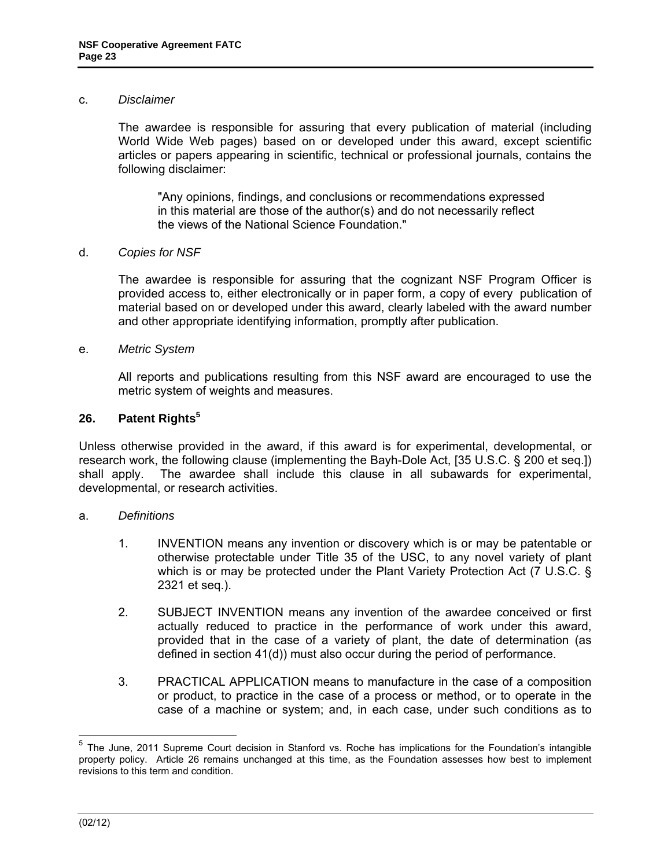#### <span id="page-22-0"></span>c. *Disclaimer*

 The awardee is responsible for assuring that every publication of material (including World Wide Web pages) based on or developed under this award, except scientific articles or papers appearing in scientific, technical or professional journals, contains the following disclaimer:

"Any opinions, findings, and conclusions or recommendations expressed in this material are those of the author(s) and do not necessarily reflect the views of the National Science Foundation."

#### d. *Copies for NSF*

 The awardee is responsible for assuring that the cognizant NSF Program Officer is provided access to, either electronically or in paper form, a copy of every publication of material based on or developed under this award, clearly labeled with the award number and other appropriate identifying information, promptly after publication.

#### e. *Metric System*

 All reports and publications resulting from this NSF award are encouraged to use the metric system of weights and measures.

### **26. Patent Rights<sup>5</sup>**

Unless otherwise provided in the award, if this award is for experimental, developmental, or research work, the following clause (implementing the Bayh-Dole Act, [35 U.S.C. § 200 et seq.]) shall apply. The awardee shall include this clause in all subawards for experimental, developmental, or research activities.

#### a. *Definitions*

- 1. INVENTION means any invention or discovery which is or may be patentable or otherwise protectable under Title 35 of the USC, to any novel variety of plant which is or may be protected under the Plant Variety Protection Act (7 U.S.C. § 2321 et seq.).
- 2. SUBJECT INVENTION means any invention of the awardee conceived or first actually reduced to practice in the performance of work under this award, provided that in the case of a variety of plant, the date of determination (as defined in section 41(d)) must also occur during the period of performance.
- 3. PRACTICAL APPLICATION means to manufacture in the case of a composition or product, to practice in the case of a process or method, or to operate in the case of a machine or system; and, in each case, under such conditions as to

 $\overline{a}$ <sup>5</sup> The June, 2011 Supreme Court decision in Stanford vs. Roche has implications for the Foundation's intangible property policy. Article 26 remains unchanged at this time, as the Foundation assesses how best to implement revisions to this term and condition.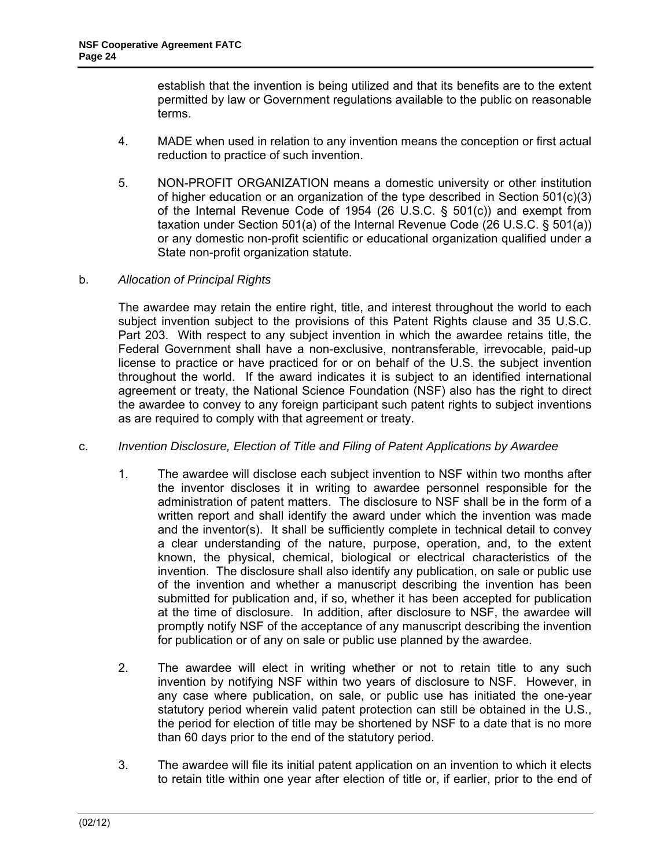establish that the invention is being utilized and that its benefits are to the extent permitted by law or Government regulations available to the public on reasonable terms.

- 4. MADE when used in relation to any invention means the conception or first actual reduction to practice of such invention.
- 5. NON-PROFIT ORGANIZATION means a domestic university or other institution of higher education or an organization of the type described in Section  $501(c)(3)$ of the Internal Revenue Code of 1954 (26 U.S.C. § 501(c)) and exempt from taxation under Section 501(a) of the Internal Revenue Code (26 U.S.C. § 501(a)) or any domestic non-profit scientific or educational organization qualified under a State non-profit organization statute.

### b. *Allocation of Principal Rights*

 The awardee may retain the entire right, title, and interest throughout the world to each subject invention subject to the provisions of this Patent Rights clause and 35 U.S.C. Part 203. With respect to any subject invention in which the awardee retains title, the Federal Government shall have a non-exclusive, nontransferable, irrevocable, paid-up license to practice or have practiced for or on behalf of the U.S. the subject invention throughout the world. If the award indicates it is subject to an identified international agreement or treaty, the National Science Foundation (NSF) also has the right to direct the awardee to convey to any foreign participant such patent rights to subject inventions as are required to comply with that agreement or treaty.

# c. *Invention Disclosure, Election of Title and Filing of Patent Applications by Awardee*

- 1. The awardee will disclose each subject invention to NSF within two months after the inventor discloses it in writing to awardee personnel responsible for the administration of patent matters. The disclosure to NSF shall be in the form of a written report and shall identify the award under which the invention was made and the inventor(s). It shall be sufficiently complete in technical detail to convey a clear understanding of the nature, purpose, operation, and, to the extent known, the physical, chemical, biological or electrical characteristics of the invention. The disclosure shall also identify any publication, on sale or public use of the invention and whether a manuscript describing the invention has been submitted for publication and, if so, whether it has been accepted for publication at the time of disclosure. In addition, after disclosure to NSF, the awardee will promptly notify NSF of the acceptance of any manuscript describing the invention for publication or of any on sale or public use planned by the awardee.
- 2. The awardee will elect in writing whether or not to retain title to any such invention by notifying NSF within two years of disclosure to NSF. However, in any case where publication, on sale, or public use has initiated the one-year statutory period wherein valid patent protection can still be obtained in the U.S., the period for election of title may be shortened by NSF to a date that is no more than 60 days prior to the end of the statutory period.
- 3. The awardee will file its initial patent application on an invention to which it elects to retain title within one year after election of title or, if earlier, prior to the end of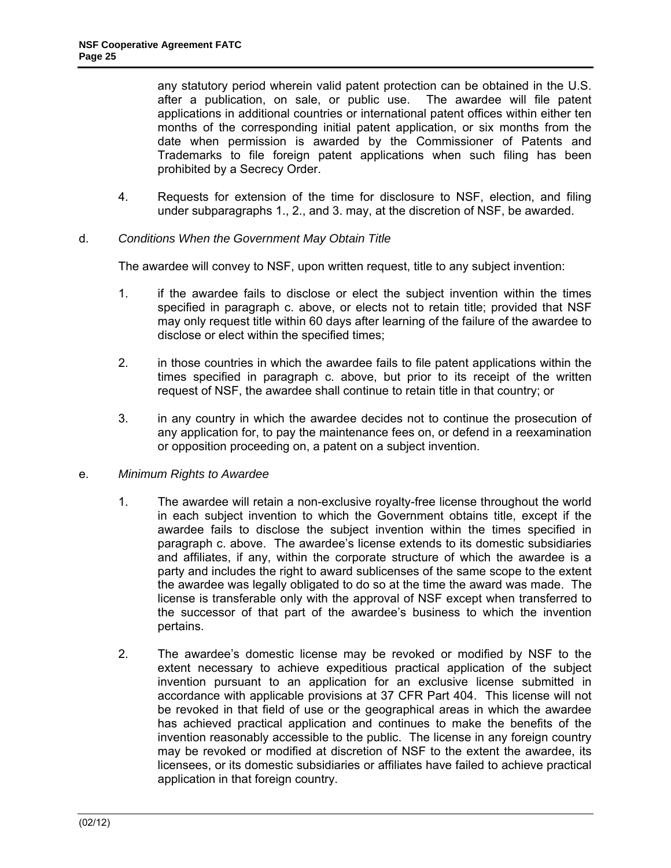any statutory period wherein valid patent protection can be obtained in the U.S. after a publication, on sale, or public use. The awardee will file patent applications in additional countries or international patent offices within either ten months of the corresponding initial patent application, or six months from the date when permission is awarded by the Commissioner of Patents and Trademarks to file foreign patent applications when such filing has been prohibited by a Secrecy Order.

4. Requests for extension of the time for disclosure to NSF, election, and filing under subparagraphs 1., 2., and 3. may, at the discretion of NSF, be awarded.

### d. *Conditions When the Government May Obtain Title*

The awardee will convey to NSF, upon written request, title to any subject invention:

- 1. if the awardee fails to disclose or elect the subject invention within the times specified in paragraph c. above, or elects not to retain title; provided that NSF may only request title within 60 days after learning of the failure of the awardee to disclose or elect within the specified times;
- 2. in those countries in which the awardee fails to file patent applications within the times specified in paragraph c. above, but prior to its receipt of the written request of NSF, the awardee shall continue to retain title in that country; or
- 3. in any country in which the awardee decides not to continue the prosecution of any application for, to pay the maintenance fees on, or defend in a reexamination or opposition proceeding on, a patent on a subject invention.
- e. *Minimum Rights to Awardee*
	- 1. The awardee will retain a non-exclusive royalty-free license throughout the world in each subject invention to which the Government obtains title, except if the awardee fails to disclose the subject invention within the times specified in paragraph c. above. The awardee's license extends to its domestic subsidiaries and affiliates, if any, within the corporate structure of which the awardee is a party and includes the right to award sublicenses of the same scope to the extent the awardee was legally obligated to do so at the time the award was made. The license is transferable only with the approval of NSF except when transferred to the successor of that part of the awardee's business to which the invention pertains.
	- 2. The awardee's domestic license may be revoked or modified by NSF to the extent necessary to achieve expeditious practical application of the subject invention pursuant to an application for an exclusive license submitted in accordance with applicable provisions at 37 CFR Part 404. This license will not be revoked in that field of use or the geographical areas in which the awardee has achieved practical application and continues to make the benefits of the invention reasonably accessible to the public. The license in any foreign country may be revoked or modified at discretion of NSF to the extent the awardee, its licensees, or its domestic subsidiaries or affiliates have failed to achieve practical application in that foreign country.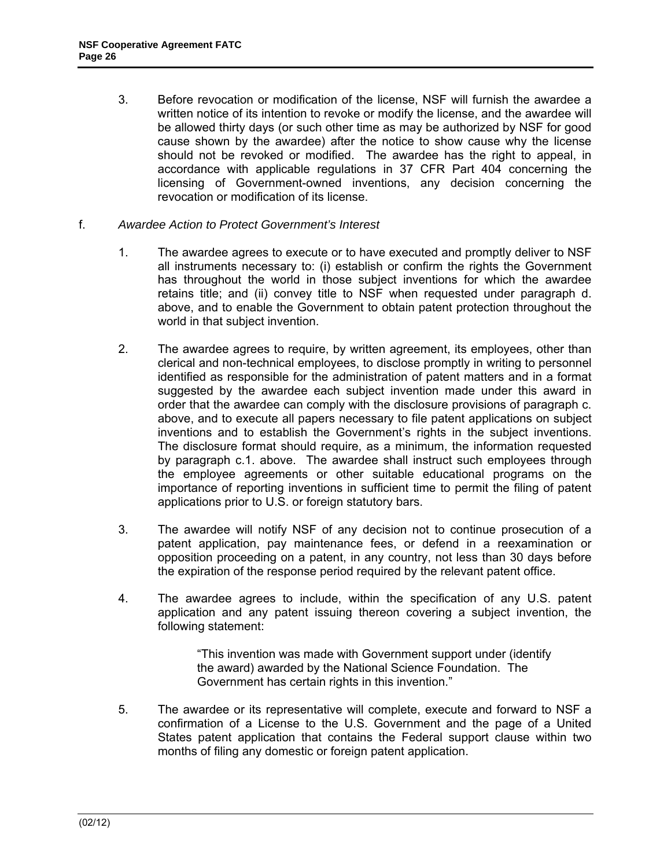- 3. Before revocation or modification of the license, NSF will furnish the awardee a written notice of its intention to revoke or modify the license, and the awardee will be allowed thirty days (or such other time as may be authorized by NSF for good cause shown by the awardee) after the notice to show cause why the license should not be revoked or modified. The awardee has the right to appeal, in accordance with applicable regulations in 37 CFR Part 404 concerning the licensing of Government-owned inventions, any decision concerning the revocation or modification of its license.
- f. *Awardee Action to Protect Government's Interest*
	- 1. The awardee agrees to execute or to have executed and promptly deliver to NSF all instruments necessary to: (i) establish or confirm the rights the Government has throughout the world in those subject inventions for which the awardee retains title; and (ii) convey title to NSF when requested under paragraph d. above, and to enable the Government to obtain patent protection throughout the world in that subject invention.
	- 2. The awardee agrees to require, by written agreement, its employees, other than clerical and non-technical employees, to disclose promptly in writing to personnel identified as responsible for the administration of patent matters and in a format suggested by the awardee each subject invention made under this award in order that the awardee can comply with the disclosure provisions of paragraph c. above, and to execute all papers necessary to file patent applications on subject inventions and to establish the Government's rights in the subject inventions. The disclosure format should require, as a minimum, the information requested by paragraph c.1. above. The awardee shall instruct such employees through the employee agreements or other suitable educational programs on the importance of reporting inventions in sufficient time to permit the filing of patent applications prior to U.S. or foreign statutory bars.
	- 3. The awardee will notify NSF of any decision not to continue prosecution of a patent application, pay maintenance fees, or defend in a reexamination or opposition proceeding on a patent, in any country, not less than 30 days before the expiration of the response period required by the relevant patent office.
	- 4. The awardee agrees to include, within the specification of any U.S. patent application and any patent issuing thereon covering a subject invention, the following statement:

"This invention was made with Government support under (identify the award) awarded by the National Science Foundation. The Government has certain rights in this invention."

5. The awardee or its representative will complete, execute and forward to NSF a confirmation of a License to the U.S. Government and the page of a United States patent application that contains the Federal support clause within two months of filing any domestic or foreign patent application.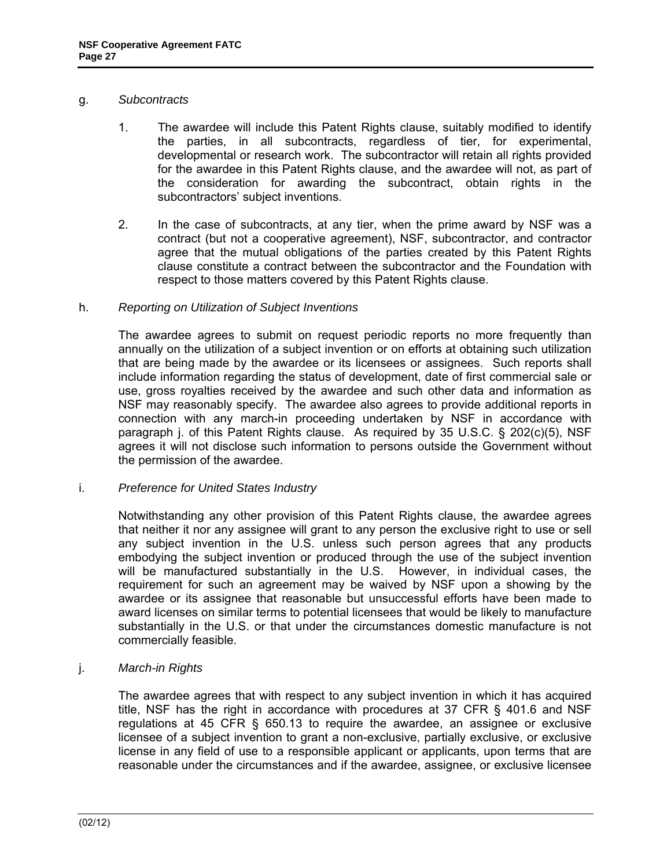#### g. *Subcontracts*

- 1. The awardee will include this Patent Rights clause, suitably modified to identify the parties, in all subcontracts, regardless of tier, for experimental, developmental or research work. The subcontractor will retain all rights provided for the awardee in this Patent Rights clause, and the awardee will not, as part of the consideration for awarding the subcontract, obtain rights in the subcontractors' subject inventions.
- 2. In the case of subcontracts, at any tier, when the prime award by NSF was a contract (but not a cooperative agreement), NSF, subcontractor, and contractor agree that the mutual obligations of the parties created by this Patent Rights clause constitute a contract between the subcontractor and the Foundation with respect to those matters covered by this Patent Rights clause.

#### h. *Reporting on Utilization of Subject Inventions*

 The awardee agrees to submit on request periodic reports no more frequently than annually on the utilization of a subject invention or on efforts at obtaining such utilization that are being made by the awardee or its licensees or assignees. Such reports shall include information regarding the status of development, date of first commercial sale or use, gross royalties received by the awardee and such other data and information as NSF may reasonably specify. The awardee also agrees to provide additional reports in connection with any march-in proceeding undertaken by NSF in accordance with paragraph j. of this Patent Rights clause. As required by 35 U.S.C. § 202(c)(5), NSF agrees it will not disclose such information to persons outside the Government without the permission of the awardee.

#### i. *Preference for United States Industry*

 Notwithstanding any other provision of this Patent Rights clause, the awardee agrees that neither it nor any assignee will grant to any person the exclusive right to use or sell any subject invention in the U.S. unless such person agrees that any products embodying the subject invention or produced through the use of the subject invention will be manufactured substantially in the U.S. However, in individual cases, the requirement for such an agreement may be waived by NSF upon a showing by the awardee or its assignee that reasonable but unsuccessful efforts have been made to award licenses on similar terms to potential licensees that would be likely to manufacture substantially in the U.S. or that under the circumstances domestic manufacture is not commercially feasible.

# j. *March-in Rights*

 The awardee agrees that with respect to any subject invention in which it has acquired title, NSF has the right in accordance with procedures at 37 CFR § 401.6 and NSF regulations at 45 CFR § 650.13 to require the awardee, an assignee or exclusive licensee of a subject invention to grant a non-exclusive, partially exclusive, or exclusive license in any field of use to a responsible applicant or applicants, upon terms that are reasonable under the circumstances and if the awardee, assignee, or exclusive licensee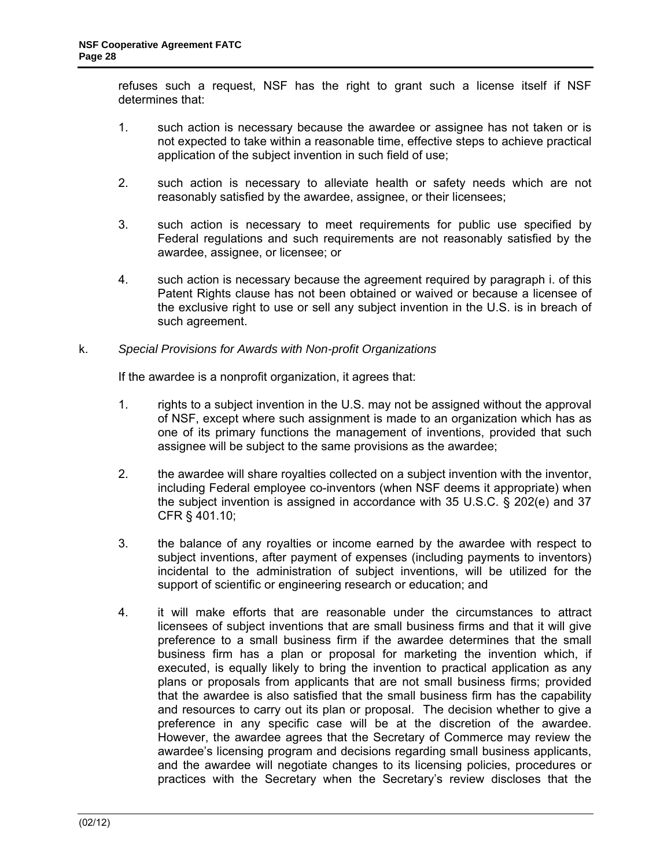refuses such a request, NSF has the right to grant such a license itself if NSF determines that:

- 1. such action is necessary because the awardee or assignee has not taken or is not expected to take within a reasonable time, effective steps to achieve practical application of the subject invention in such field of use;
- 2. such action is necessary to alleviate health or safety needs which are not reasonably satisfied by the awardee, assignee, or their licensees;
- 3. such action is necessary to meet requirements for public use specified by Federal regulations and such requirements are not reasonably satisfied by the awardee, assignee, or licensee; or
- 4. such action is necessary because the agreement required by paragraph i. of this Patent Rights clause has not been obtained or waived or because a licensee of the exclusive right to use or sell any subject invention in the U.S. is in breach of such agreement.

### k. *Special Provisions for Awards with Non-profit Organizations*

If the awardee is a nonprofit organization, it agrees that:

- 1. rights to a subject invention in the U.S. may not be assigned without the approval of NSF, except where such assignment is made to an organization which has as one of its primary functions the management of inventions, provided that such assignee will be subject to the same provisions as the awardee;
- 2. the awardee will share royalties collected on a subject invention with the inventor, including Federal employee co-inventors (when NSF deems it appropriate) when the subject invention is assigned in accordance with 35 U.S.C. § 202(e) and 37 CFR § 401.10;
- 3. the balance of any royalties or income earned by the awardee with respect to subject inventions, after payment of expenses (including payments to inventors) incidental to the administration of subject inventions, will be utilized for the support of scientific or engineering research or education; and
- 4. it will make efforts that are reasonable under the circumstances to attract licensees of subject inventions that are small business firms and that it will give preference to a small business firm if the awardee determines that the small business firm has a plan or proposal for marketing the invention which, if executed, is equally likely to bring the invention to practical application as any plans or proposals from applicants that are not small business firms; provided that the awardee is also satisfied that the small business firm has the capability and resources to carry out its plan or proposal. The decision whether to give a preference in any specific case will be at the discretion of the awardee. However, the awardee agrees that the Secretary of Commerce may review the awardee's licensing program and decisions regarding small business applicants, and the awardee will negotiate changes to its licensing policies, procedures or practices with the Secretary when the Secretary's review discloses that the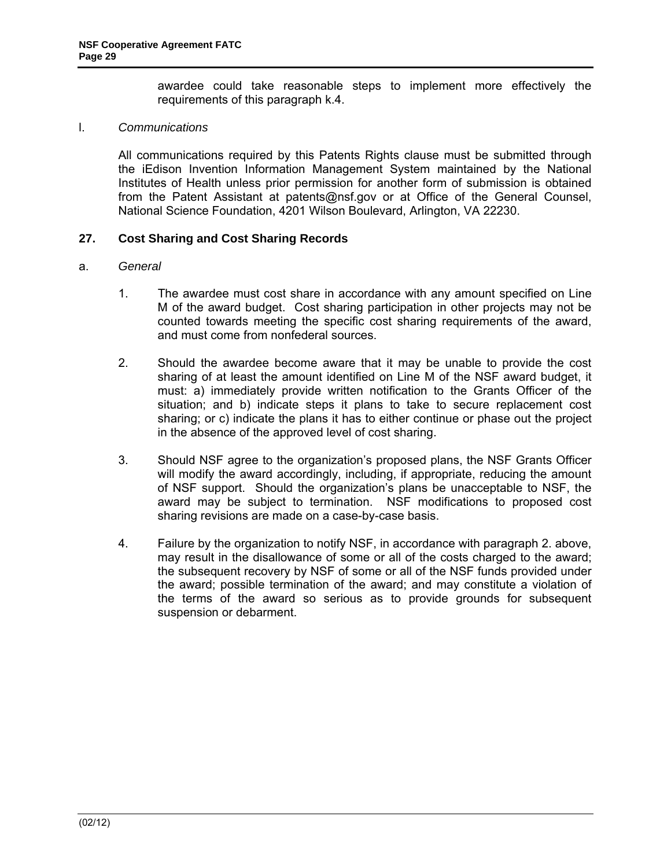awardee could take reasonable steps to implement more effectively the requirements of this paragraph k.4.

### <span id="page-28-0"></span>l. *Communications*

 All communications required by this Patents Rights clause must be submitted through the iEdison Invention Information Management System maintained by the National Institutes of Health unless prior permission for another form of submission is obtained from the Patent Assistant at patents@nsf.gov or at Office of the General Counsel, National Science Foundation, 4201 Wilson Boulevard, Arlington, VA 22230.

### **27. Cost Sharing and Cost Sharing Records**

#### a. *General*

- 1. The awardee must cost share in accordance with any amount specified on Line M of the award budget. Cost sharing participation in other projects may not be counted towards meeting the specific cost sharing requirements of the award, and must come from nonfederal sources.
- 2. Should the awardee become aware that it may be unable to provide the cost sharing of at least the amount identified on Line M of the NSF award budget, it must: a) immediately provide written notification to the Grants Officer of the situation; and b) indicate steps it plans to take to secure replacement cost sharing; or c) indicate the plans it has to either continue or phase out the project in the absence of the approved level of cost sharing.
- 3. Should NSF agree to the organization's proposed plans, the NSF Grants Officer will modify the award accordingly, including, if appropriate, reducing the amount of NSF support. Should the organization's plans be unacceptable to NSF, the award may be subject to termination. NSF modifications to proposed cost sharing revisions are made on a case-by-case basis.
- 4. Failure by the organization to notify NSF, in accordance with paragraph 2. above, may result in the disallowance of some or all of the costs charged to the award; the subsequent recovery by NSF of some or all of the NSF funds provided under the award; possible termination of the award; and may constitute a violation of the terms of the award so serious as to provide grounds for subsequent suspension or debarment.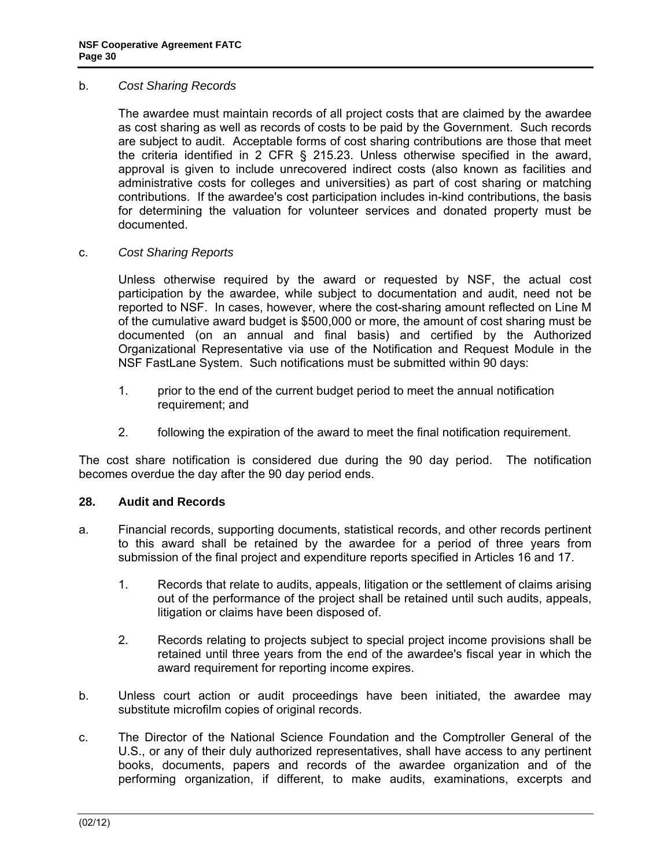#### <span id="page-29-0"></span>b. *Cost Sharing Records*

 The awardee must maintain records of all project costs that are claimed by the awardee as cost sharing as well as records of costs to be paid by the Government. Such records are subject to audit. Acceptable forms of cost sharing contributions are those that meet the criteria identified in 2 CFR § 215.23. Unless otherwise specified in the award, approval is given to include unrecovered indirect costs (also known as facilities and administrative costs for colleges and universities) as part of cost sharing or matching contributions. If the awardee's cost participation includes in-kind contributions, the basis for determining the valuation for volunteer services and donated property must be documented.

#### c. *Cost Sharing Reports*

 Unless otherwise required by the award or requested by NSF, the actual cost participation by the awardee, while subject to documentation and audit, need not be reported to NSF. In cases, however, where the cost-sharing amount reflected on Line M of the cumulative award budget is \$500,000 or more, the amount of cost sharing must be documented (on an annual and final basis) and certified by the Authorized Organizational Representative via use of the Notification and Request Module in the NSF FastLane System. Such notifications must be submitted within 90 days:

- 1. prior to the end of the current budget period to meet the annual notification requirement; and
- 2. following the expiration of the award to meet the final notification requirement.

The cost share notification is considered due during the 90 day period. The notification becomes overdue the day after the 90 day period ends.

#### **28. Audit and Records**

- a. Financial records, supporting documents, statistical records, and other records pertinent to this award shall be retained by the awardee for a period of three years from submission of the final project and expenditure reports specified in Articles 16 and 17.
	- 1. Records that relate to audits, appeals, litigation or the settlement of claims arising out of the performance of the project shall be retained until such audits, appeals, litigation or claims have been disposed of.
	- 2. Records relating to projects subject to special project income provisions shall be retained until three years from the end of the awardee's fiscal year in which the award requirement for reporting income expires.
- b. Unless court action or audit proceedings have been initiated, the awardee may substitute microfilm copies of original records.
- c. The Director of the National Science Foundation and the Comptroller General of the U.S., or any of their duly authorized representatives, shall have access to any pertinent books, documents, papers and records of the awardee organization and of the performing organization, if different, to make audits, examinations, excerpts and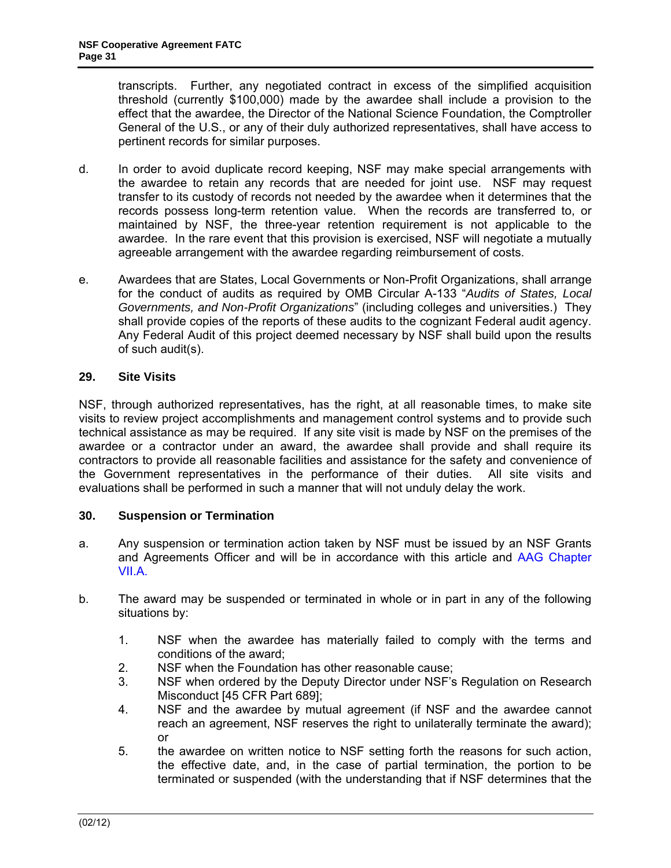<span id="page-30-0"></span>transcripts. Further, any negotiated contract in excess of the simplified acquisition threshold (currently \$100,000) made by the awardee shall include a provision to the effect that the awardee, the Director of the National Science Foundation, the Comptroller General of the U.S., or any of their duly authorized representatives, shall have access to pertinent records for similar purposes.

- d. In order to avoid duplicate record keeping, NSF may make special arrangements with the awardee to retain any records that are needed for joint use. NSF may request transfer to its custody of records not needed by the awardee when it determines that the records possess long-term retention value. When the records are transferred to, or maintained by NSF, the three-year retention requirement is not applicable to the awardee. In the rare event that this provision is exercised, NSF will negotiate a mutually agreeable arrangement with the awardee regarding reimbursement of costs.
- e. Awardees that are States, Local Governments or Non-Profit Organizations, shall arrange for the conduct of audits as required by OMB Circular A-133 "*Audits of States, Local Governments, and Non-Profit Organizations*" (including colleges and universities.) They shall provide copies of the reports of these audits to the cognizant Federal audit agency. Any Federal Audit of this project deemed necessary by NSF shall build upon the results of such audit(s).

# **29. Site Visits**

NSF, through authorized representatives, has the right, at all reasonable times, to make site visits to review project accomplishments and management control systems and to provide such technical assistance as may be required. If any site visit is made by NSF on the premises of the awardee or a contractor under an award, the awardee shall provide and shall require its contractors to provide all reasonable facilities and assistance for the safety and convenience of the Government representatives in the performance of their duties. All site visits and evaluations shall be performed in such a manner that will not unduly delay the work.

# **30. Suspension or Termination**

- a. Any suspension or termination action taken by NSF must be issued by an NSF Grants and Agreements Officer and will be in accordance with this article and [AAG Chapter](http://www.nsf.gov/pubs/policydocs/pappguide/nsf11001/aag_7.jsp#VIIA)  [VII.A.](http://www.nsf.gov/pubs/policydocs/pappguide/nsf11001/aag_7.jsp#VIIA)
- b. The award may be suspended or terminated in whole or in part in any of the following situations by:
	- 1. NSF when the awardee has materially failed to comply with the terms and conditions of the award;
	- 2. NSF when the Foundation has other reasonable cause;
	- 3. NSF when ordered by the Deputy Director under NSF's Regulation on Research Misconduct [45 CFR Part 689];
	- 4. NSF and the awardee by mutual agreement (if NSF and the awardee cannot reach an agreement, NSF reserves the right to unilaterally terminate the award); or
	- 5. the awardee on written notice to NSF setting forth the reasons for such action, the effective date, and, in the case of partial termination, the portion to be terminated or suspended (with the understanding that if NSF determines that the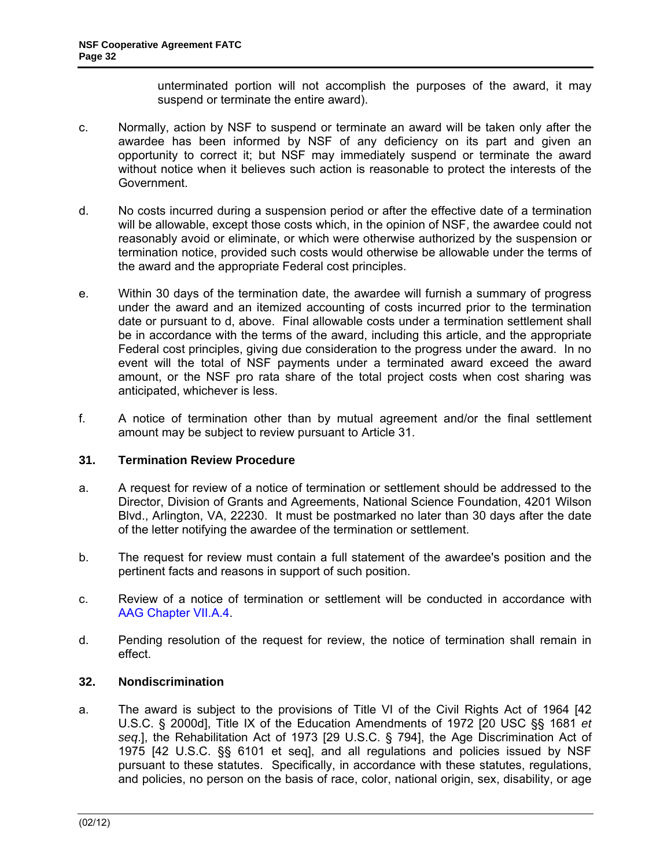unterminated portion will not accomplish the purposes of the award, it may suspend or terminate the entire award).

- <span id="page-31-0"></span>c. Normally, action by NSF to suspend or terminate an award will be taken only after the awardee has been informed by NSF of any deficiency on its part and given an opportunity to correct it; but NSF may immediately suspend or terminate the award without notice when it believes such action is reasonable to protect the interests of the Government.
- d. No costs incurred during a suspension period or after the effective date of a termination will be allowable, except those costs which, in the opinion of NSF, the awardee could not reasonably avoid or eliminate, or which were otherwise authorized by the suspension or termination notice, provided such costs would otherwise be allowable under the terms of the award and the appropriate Federal cost principles.
- e. Within 30 days of the termination date, the awardee will furnish a summary of progress under the award and an itemized accounting of costs incurred prior to the termination date or pursuant to d, above. Final allowable costs under a termination settlement shall be in accordance with the terms of the award, including this article, and the appropriate Federal cost principles, giving due consideration to the progress under the award. In no event will the total of NSF payments under a terminated award exceed the award amount, or the NSF pro rata share of the total project costs when cost sharing was anticipated, whichever is less.
- f. A notice of termination other than by mutual agreement and/or the final settlement amount may be subject to review pursuant to Article 31.

# **31. Termination Review Procedure**

- a. A request for review of a notice of termination or settlement should be addressed to the Director, Division of Grants and Agreements, National Science Foundation, 4201 Wilson Blvd., Arlington, VA, 22230. It must be postmarked no later than 30 days after the date of the letter notifying the awardee of the termination or settlement.
- b. The request for review must contain a full statement of the awardee's position and the pertinent facts and reasons in support of such position.
- c. Review of a notice of termination or settlement will be conducted in accordance with [AAG Chapter VII.A.4](http://www.nsf.gov/pubs/policydocs/pappguide/nsf11001/aag_7.jsp#VIIA4).
- d. Pending resolution of the request for review, the notice of termination shall remain in effect.

### **32. Nondiscrimination**

a. The award is subject to the provisions of Title VI of the Civil Rights Act of 1964 [42 U.S.C. § 2000d], Title IX of the Education Amendments of 1972 [20 USC §§ 1681 *et seq*.], the Rehabilitation Act of 1973 [29 U.S.C. § 794], the Age Discrimination Act of 1975 [42 U.S.C. §§ 6101 et seq], and all regulations and policies issued by NSF pursuant to these statutes. Specifically, in accordance with these statutes, regulations, and policies, no person on the basis of race, color, national origin, sex, disability, or age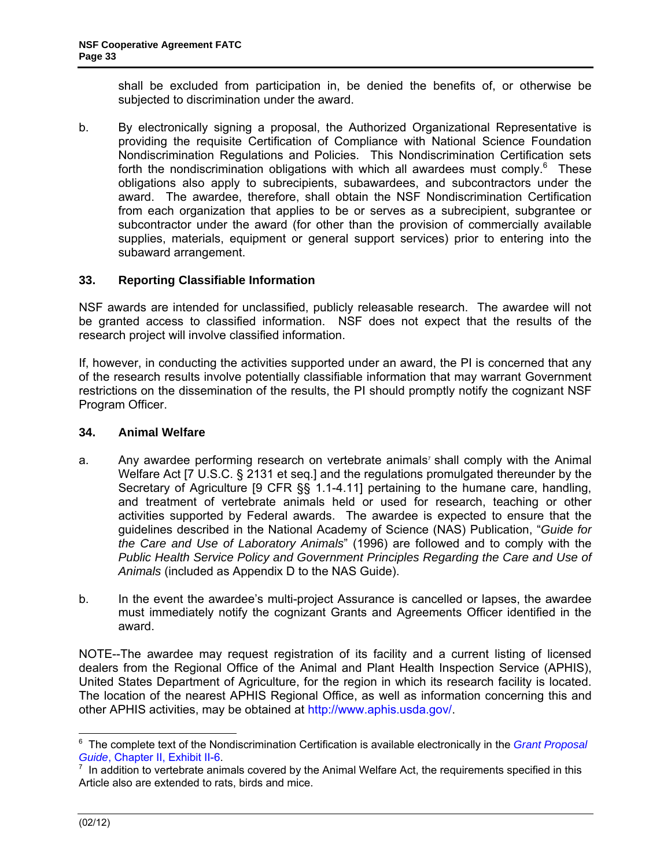<span id="page-32-0"></span>shall be excluded from participation in, be denied the benefits of, or otherwise be subjected to discrimination under the award.

b. By electronically signing a proposal, the Authorized Organizational Representative is providing the requisite Certification of Compliance with National Science Foundation Nondiscrimination Regulations and Policies. This Nondiscrimination Certification sets forth the nondiscrimination obligations with which all awardees must comply. $6$  These obligations also apply to subrecipients, subawardees, and subcontractors under the award. The awardee, therefore, shall obtain the NSF Nondiscrimination Certification from each organization that applies to be or serves as a subrecipient, subgrantee or subcontractor under the award (for other than the provision of commercially available supplies, materials, equipment or general support services) prior to entering into the subaward arrangement.

### **33. Reporting Classifiable Information**

NSF awards are intended for unclassified, publicly releasable research. The awardee will not be granted access to classified information. NSF does not expect that the results of the research project will involve classified information.

If, however, in conducting the activities supported under an award, the PI is concerned that any of the research results involve potentially classifiable information that may warrant Government restrictions on the dissemination of the results, the PI should promptly notify the cognizant NSF Program Officer.

#### **34. Animal Welfare**

- a. Any awardee performing research on vertebrate animals<sup>7</sup> shall comply with the Animal Welfare Act [7 U.S.C. § 2131 et seq.] and the regulations promulgated thereunder by the Secretary of Agriculture [9 CFR §§ 1.1-4.11] pertaining to the humane care, handling, and treatment of vertebrate animals held or used for research, teaching or other activities supported by Federal awards. The awardee is expected to ensure that the guidelines described in the National Academy of Science (NAS) Publication, "*Guide for the Care and Use of Laboratory Animals*" (1996) are followed and to comply with the *Public Health Service Policy and Government Principles Regarding the Care and Use of Animals* (included as Appendix D to the NAS Guide).
- b. In the event the awardee's multi-project Assurance is cancelled or lapses, the awardee must immediately notify the cognizant Grants and Agreements Officer identified in the award.

NOTE--The awardee may request registration of its facility and a current listing of licensed dealers from the Regional Office of the Animal and Plant Health Inspection Service (APHIS), United States Department of Agriculture, for the region in which its research facility is located. The location of the nearest APHIS Regional Office, as well as information concerning this and other APHIS activities, may be obtained at http://www.aphis.usda.gov/.

 6 The complete text of the Nondiscrimination Certification is available electronically in the *[Grant Proposal](http://www.nsf.gov/pubs/policydocs/pappguide/nsf11_1/gpg_2.jsp#IIex6)* 

Guide[, Chapter II, Exhibit II-6](http://www.nsf.gov/pubs/policydocs/pappguide/nsf11_1/gpg_2.jsp#IIex6).<br><sup>[7](http://www.nsf.gov/pubs/policydocs/pappguide/nsf11_1/gpg_2.jsp#IIex6)</sup> In addition to vertebrate animals covered by the Animal Welfare Act, the requirements specified in this Article also are extended to rats, birds and mice.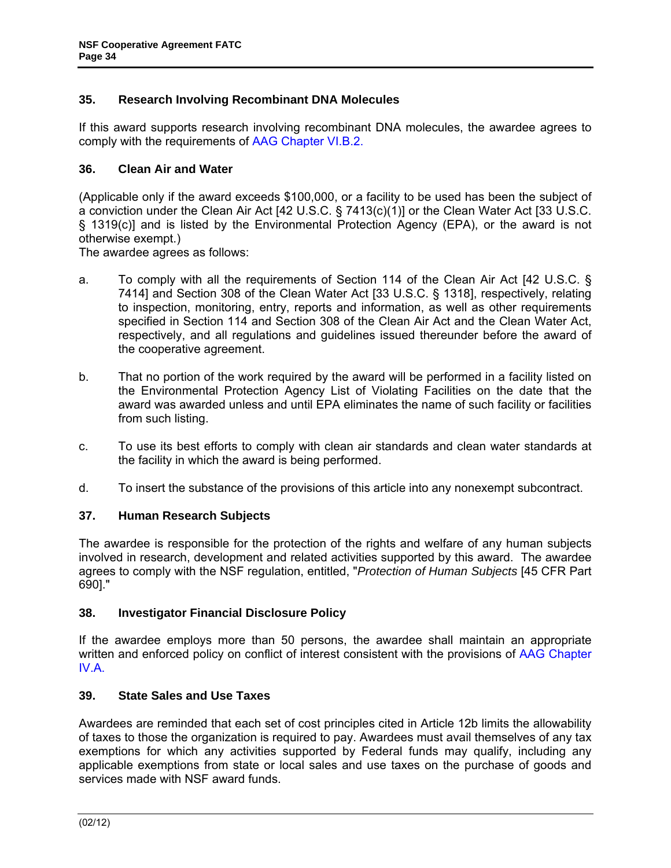### <span id="page-33-0"></span>**35. Research Involving Recombinant DNA Molecules**

If this award supports research involving recombinant DNA molecules, the awardee agrees to comply with the requirements of [AAG Chapter VI.B.2.](http://www.nsf.gov/pubs/policydocs/pappguide/nsf11001/aag_6.jsp#VIB2)

#### **36. Clean Air and Water**

(Applicable only if the award exceeds \$100,000, or a facility to be used has been the subject of a conviction under the Clean Air Act [42 U.S.C. § 7413(c)(1)] or the Clean Water Act [33 U.S.C. § 1319(c)] and is listed by the Environmental Protection Agency (EPA), or the award is not otherwise exempt.)

The awardee agrees as follows:

- a. To comply with all the requirements of Section 114 of the Clean Air Act [42 U.S.C. § 7414] and Section 308 of the Clean Water Act [33 U.S.C. § 1318], respectively, relating to inspection, monitoring, entry, reports and information, as well as other requirements specified in Section 114 and Section 308 of the Clean Air Act and the Clean Water Act, respectively, and all regulations and guidelines issued thereunder before the award of the cooperative agreement.
- b. That no portion of the work required by the award will be performed in a facility listed on the Environmental Protection Agency List of Violating Facilities on the date that the award was awarded unless and until EPA eliminates the name of such facility or facilities from such listing.
- c. To use its best efforts to comply with clean air standards and clean water standards at the facility in which the award is being performed.
- d. To insert the substance of the provisions of this article into any nonexempt subcontract.

# **37. Human Research Subjects**

The awardee is responsible for the protection of the rights and welfare of any human subjects involved in research, development and related activities supported by this award. The awardee agrees to comply with the NSF regulation, entitled, "*Protection of Human Subjects* [45 CFR Part 690]."

#### **38. Investigator Financial Disclosure Policy**

If the awardee employs more than 50 persons, the awardee shall maintain an appropriate written and enforced policy on conflict of interest consistent with the provisions of [AAG Chapter](http://www.nsf.gov/pubs/policydocs/pappguide/nsf11001/aag_4.jsp#IVA)  [IV.A.](http://www.nsf.gov/pubs/policydocs/pappguide/nsf11001/aag_4.jsp#IVA)

#### **39. State Sales and Use Taxes**

Awardees are reminded that each set of cost principles cited in Article 12b limits the allowability of taxes to those the organization is required to pay. Awardees must avail themselves of any tax exemptions for which any activities supported by Federal funds may qualify, including any applicable exemptions from state or local sales and use taxes on the purchase of goods and services made with NSF award funds.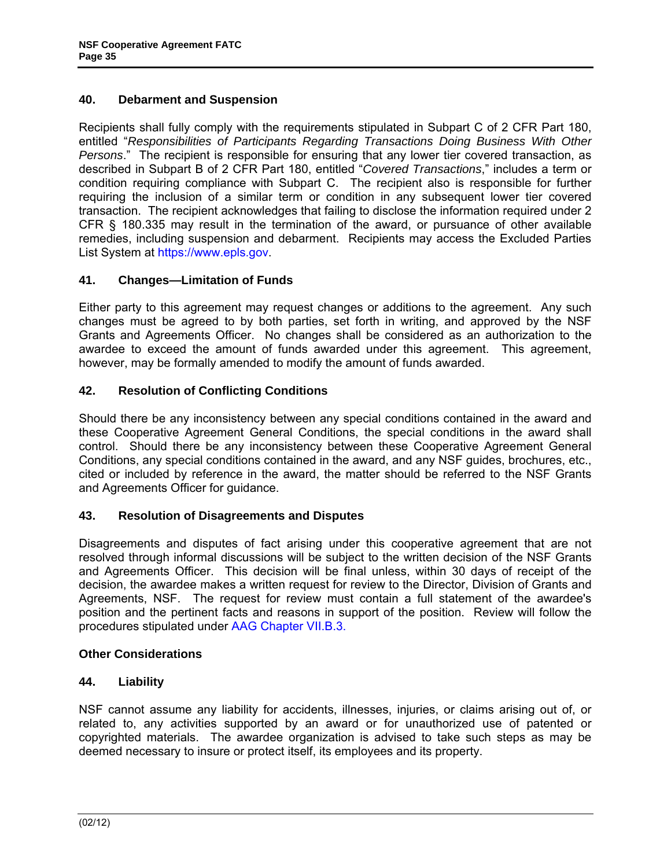### <span id="page-34-0"></span>**40. Debarment and Suspension**

Recipients shall fully comply with the requirements stipulated in Subpart C of 2 CFR Part 180, entitled "*Responsibilities of Participants Regarding Transactions Doing Business With Other Persons*." The recipient is responsible for ensuring that any lower tier covered transaction, as described in Subpart B of 2 CFR Part 180, entitled "*Covered Transactions*," includes a term or condition requiring compliance with Subpart C. The recipient also is responsible for further requiring the inclusion of a similar term or condition in any subsequent lower tier covered transaction. The recipient acknowledges that failing to disclose the information required under 2 CFR § 180.335 may result in the termination of the award, or pursuance of other available remedies, including suspension and debarment. Recipients may access the Excluded Parties List System at https://www.epls.gov.

### **41. Changes—Limitation of Funds**

Either party to this agreement may request changes or additions to the agreement. Any such changes must be agreed to by both parties, set forth in writing, and approved by the NSF Grants and Agreements Officer. No changes shall be considered as an authorization to the awardee to exceed the amount of funds awarded under this agreement. This agreement, however, may be formally amended to modify the amount of funds awarded.

### **42. Resolution of Conflicting Conditions**

Should there be any inconsistency between any special conditions contained in the award and these Cooperative Agreement General Conditions, the special conditions in the award shall control. Should there be any inconsistency between these Cooperative Agreement General Conditions, any special conditions contained in the award, and any NSF guides, brochures, etc., cited or included by reference in the award, the matter should be referred to the NSF Grants and Agreements Officer for guidance.

#### **43. Resolution of Disagreements and Disputes**

Disagreements and disputes of fact arising under this cooperative agreement that are not resolved through informal discussions will be subject to the written decision of the NSF Grants and Agreements Officer. This decision will be final unless, within 30 days of receipt of the decision, the awardee makes a written request for review to the Director, Division of Grants and Agreements, NSF. The request for review must contain a full statement of the awardee's position and the pertinent facts and reasons in support of the position. Review will follow the procedures stipulated unde[r AAG Chapter VII.B.3.](http://www.nsf.gov/pubs/policydocs/pappguide/nsf11001/aag_7.jsp#VIIB3)

#### **Other Considerations**

#### **44. Liability**

NSF cannot assume any liability for accidents, illnesses, injuries, or claims arising out of, or related to, any activities supported by an award or for unauthorized use of patented or copyrighted materials. The awardee organization is advised to take such steps as may be deemed necessary to insure or protect itself, its employees and its property.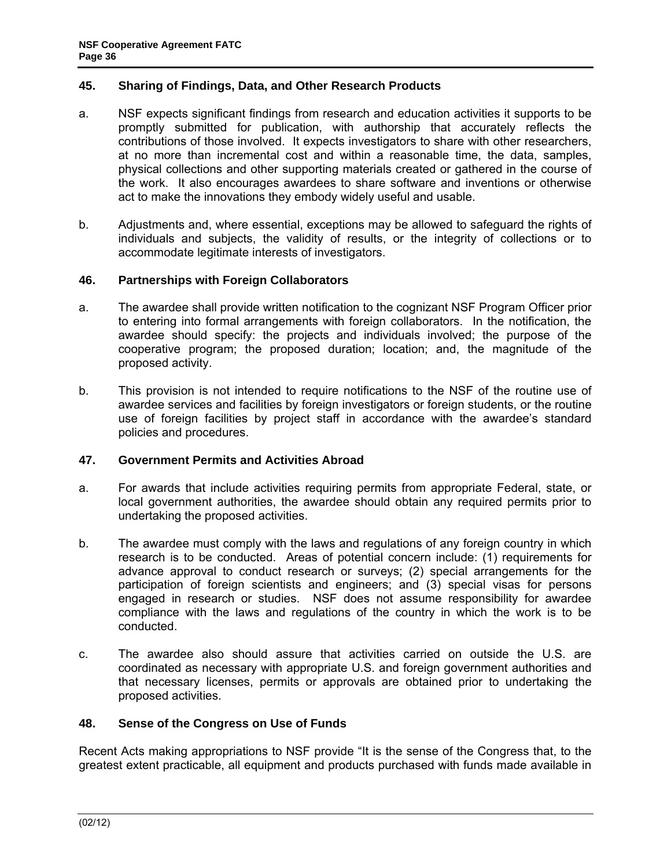### <span id="page-35-0"></span>**45. Sharing of Findings, Data, and Other Research Products**

- a. NSF expects significant findings from research and education activities it supports to be promptly submitted for publication, with authorship that accurately reflects the contributions of those involved. It expects investigators to share with other researchers, at no more than incremental cost and within a reasonable time, the data, samples, physical collections and other supporting materials created or gathered in the course of the work. It also encourages awardees to share software and inventions or otherwise act to make the innovations they embody widely useful and usable.
- b. Adjustments and, where essential, exceptions may be allowed to safeguard the rights of individuals and subjects, the validity of results, or the integrity of collections or to accommodate legitimate interests of investigators.

#### **46. Partnerships with Foreign Collaborators**

- a. The awardee shall provide written notification to the cognizant NSF Program Officer prior to entering into formal arrangements with foreign collaborators. In the notification, the awardee should specify: the projects and individuals involved; the purpose of the cooperative program; the proposed duration; location; and, the magnitude of the proposed activity.
- b. This provision is not intended to require notifications to the NSF of the routine use of awardee services and facilities by foreign investigators or foreign students, or the routine use of foreign facilities by project staff in accordance with the awardee's standard policies and procedures.

#### **47. Government Permits and Activities Abroad**

- a. For awards that include activities requiring permits from appropriate Federal, state, or local government authorities, the awardee should obtain any required permits prior to undertaking the proposed activities.
- b. The awardee must comply with the laws and regulations of any foreign country in which research is to be conducted. Areas of potential concern include: (1) requirements for advance approval to conduct research or surveys; (2) special arrangements for the participation of foreign scientists and engineers; and (3) special visas for persons engaged in research or studies. NSF does not assume responsibility for awardee compliance with the laws and regulations of the country in which the work is to be conducted.
- c. The awardee also should assure that activities carried on outside the U.S. are coordinated as necessary with appropriate U.S. and foreign government authorities and that necessary licenses, permits or approvals are obtained prior to undertaking the proposed activities.

### **48. Sense of the Congress on Use of Funds**

Recent Acts making appropriations to NSF provide "It is the sense of the Congress that, to the greatest extent practicable, all equipment and products purchased with funds made available in